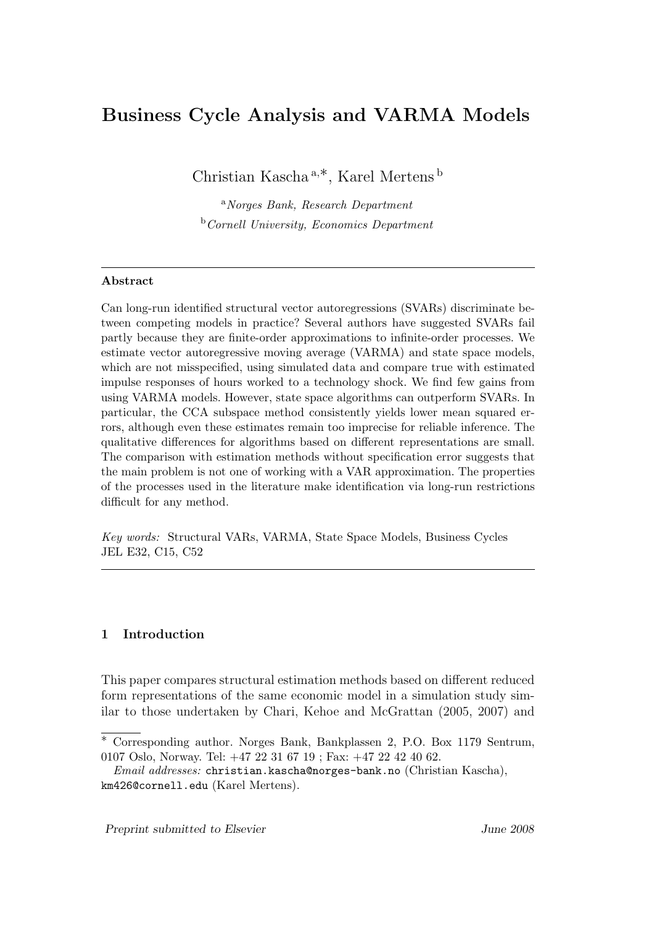# Business Cycle Analysis and VARMA Models

Christian Kascha <sup>a</sup>,∗, Karel Mertens <sup>b</sup>

<sup>a</sup>Norges Bank, Research Department  $b$ <sup>b</sup>Cornell University, Economics Department

# Abstract

Can long-run identified structural vector autoregressions (SVARs) discriminate between competing models in practice? Several authors have suggested SVARs fail partly because they are finite-order approximations to infinite-order processes. We estimate vector autoregressive moving average (VARMA) and state space models, which are not misspecified, using simulated data and compare true with estimated impulse responses of hours worked to a technology shock. We find few gains from using VARMA models. However, state space algorithms can outperform SVARs. In particular, the CCA subspace method consistently yields lower mean squared errors, although even these estimates remain too imprecise for reliable inference. The qualitative differences for algorithms based on different representations are small. The comparison with estimation methods without specification error suggests that the main problem is not one of working with a VAR approximation. The properties of the processes used in the literature make identification via long-run restrictions difficult for any method.

Key words: Structural VARs, VARMA, State Space Models, Business Cycles JEL E32, C15, C52

# 1 Introduction

This paper compares structural estimation methods based on different reduced form representations of the same economic model in a simulation study similar to those undertaken by Chari, Kehoe and McGrattan (2005, 2007) and

<sup>∗</sup> Corresponding author. Norges Bank, Bankplassen 2, P.O. Box 1179 Sentrum, 0107 Oslo, Norway. Tel: +47 22 31 67 19 ; Fax: +47 22 42 40 62.

Email addresses: christian.kascha@norges-bank.no (Christian Kascha), km426@cornell.edu (Karel Mertens).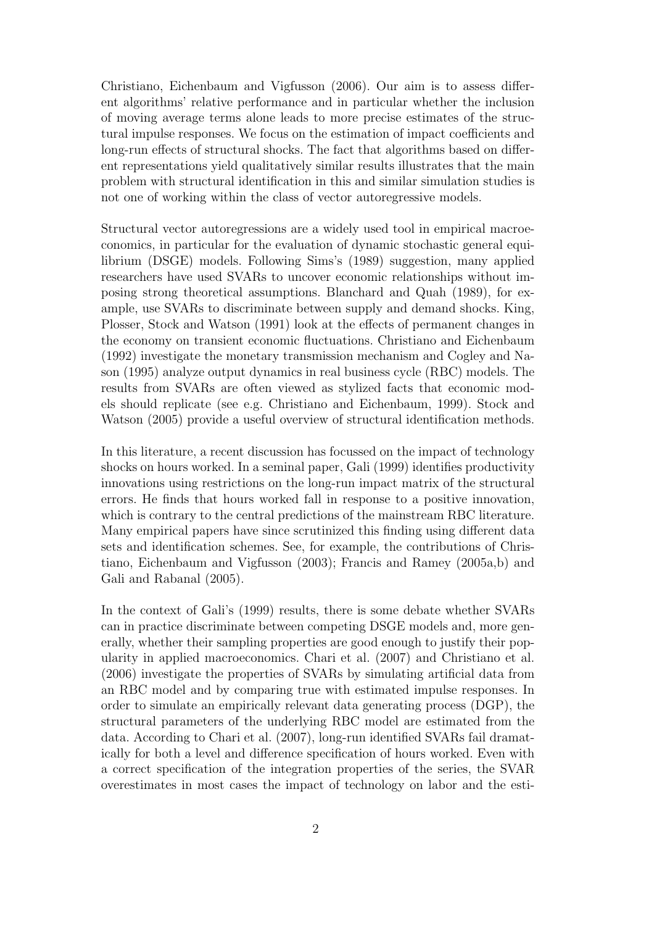Christiano, Eichenbaum and Vigfusson (2006). Our aim is to assess different algorithms' relative performance and in particular whether the inclusion of moving average terms alone leads to more precise estimates of the structural impulse responses. We focus on the estimation of impact coefficients and long-run effects of structural shocks. The fact that algorithms based on different representations yield qualitatively similar results illustrates that the main problem with structural identification in this and similar simulation studies is not one of working within the class of vector autoregressive models.

Structural vector autoregressions are a widely used tool in empirical macroeconomics, in particular for the evaluation of dynamic stochastic general equilibrium (DSGE) models. Following Sims's (1989) suggestion, many applied researchers have used SVARs to uncover economic relationships without imposing strong theoretical assumptions. Blanchard and Quah (1989), for example, use SVARs to discriminate between supply and demand shocks. King, Plosser, Stock and Watson (1991) look at the effects of permanent changes in the economy on transient economic fluctuations. Christiano and Eichenbaum (1992) investigate the monetary transmission mechanism and Cogley and Nason (1995) analyze output dynamics in real business cycle (RBC) models. The results from SVARs are often viewed as stylized facts that economic models should replicate (see e.g. Christiano and Eichenbaum, 1999). Stock and Watson (2005) provide a useful overview of structural identification methods.

In this literature, a recent discussion has focussed on the impact of technology shocks on hours worked. In a seminal paper, Gali (1999) identifies productivity innovations using restrictions on the long-run impact matrix of the structural errors. He finds that hours worked fall in response to a positive innovation, which is contrary to the central predictions of the mainstream RBC literature. Many empirical papers have since scrutinized this finding using different data sets and identification schemes. See, for example, the contributions of Christiano, Eichenbaum and Vigfusson (2003); Francis and Ramey (2005a,b) and Gali and Rabanal (2005).

In the context of Gali's (1999) results, there is some debate whether SVARs can in practice discriminate between competing DSGE models and, more generally, whether their sampling properties are good enough to justify their popularity in applied macroeconomics. Chari et al. (2007) and Christiano et al. (2006) investigate the properties of SVARs by simulating artificial data from an RBC model and by comparing true with estimated impulse responses. In order to simulate an empirically relevant data generating process (DGP), the structural parameters of the underlying RBC model are estimated from the data. According to Chari et al. (2007), long-run identified SVARs fail dramatically for both a level and difference specification of hours worked. Even with a correct specification of the integration properties of the series, the SVAR overestimates in most cases the impact of technology on labor and the esti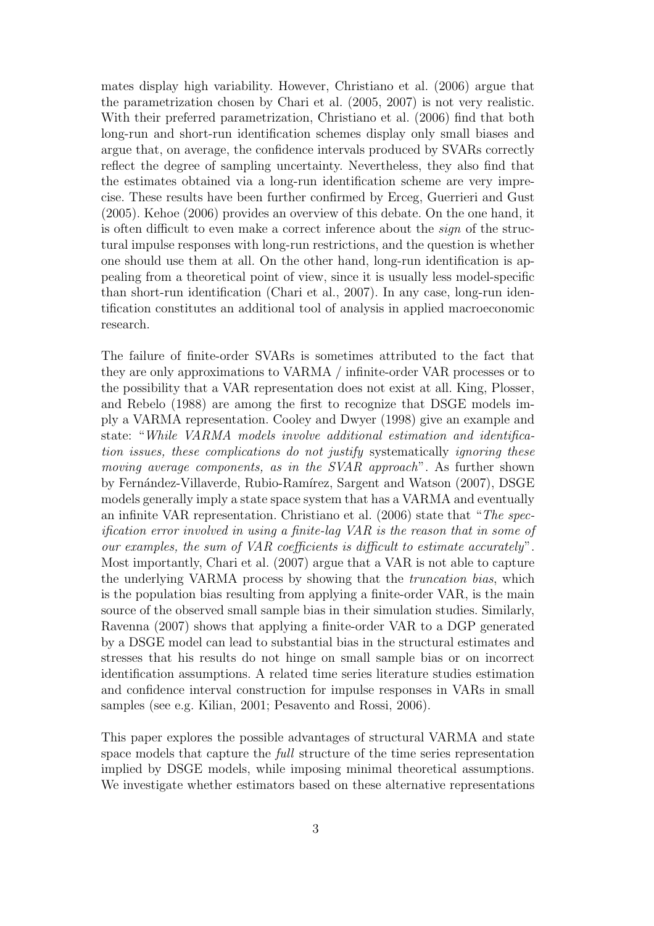mates display high variability. However, Christiano et al. (2006) argue that the parametrization chosen by Chari et al. (2005, 2007) is not very realistic. With their preferred parametrization, Christiano et al. (2006) find that both long-run and short-run identification schemes display only small biases and argue that, on average, the confidence intervals produced by SVARs correctly reflect the degree of sampling uncertainty. Nevertheless, they also find that the estimates obtained via a long-run identification scheme are very imprecise. These results have been further confirmed by Erceg, Guerrieri and Gust (2005). Kehoe (2006) provides an overview of this debate. On the one hand, it is often difficult to even make a correct inference about the sign of the structural impulse responses with long-run restrictions, and the question is whether one should use them at all. On the other hand, long-run identification is appealing from a theoretical point of view, since it is usually less model-specific than short-run identification (Chari et al., 2007). In any case, long-run identification constitutes an additional tool of analysis in applied macroeconomic research.

The failure of finite-order SVARs is sometimes attributed to the fact that they are only approximations to VARMA / infinite-order VAR processes or to the possibility that a VAR representation does not exist at all. King, Plosser, and Rebelo (1988) are among the first to recognize that DSGE models imply a VARMA representation. Cooley and Dwyer (1998) give an example and state: "While VARMA models involve additional estimation and identification issues, these complications do not justify systematically ignoring these moving average components, as in the SVAR approach". As further shown by Fernández-Villaverde, Rubio-Ramírez, Sargent and Watson (2007), DSGE models generally imply a state space system that has a VARMA and eventually an infinite VAR representation. Christiano et al. (2006) state that "The specification error involved in using a finite-lag VAR is the reason that in some of our examples, the sum of VAR coefficients is difficult to estimate accurately". Most importantly, Chari et al. (2007) argue that a VAR is not able to capture the underlying VARMA process by showing that the truncation bias, which is the population bias resulting from applying a finite-order VAR, is the main source of the observed small sample bias in their simulation studies. Similarly, Ravenna (2007) shows that applying a finite-order VAR to a DGP generated by a DSGE model can lead to substantial bias in the structural estimates and stresses that his results do not hinge on small sample bias or on incorrect identification assumptions. A related time series literature studies estimation and confidence interval construction for impulse responses in VARs in small samples (see e.g. Kilian, 2001; Pesavento and Rossi, 2006).

This paper explores the possible advantages of structural VARMA and state space models that capture the *full* structure of the time series representation implied by DSGE models, while imposing minimal theoretical assumptions. We investigate whether estimators based on these alternative representations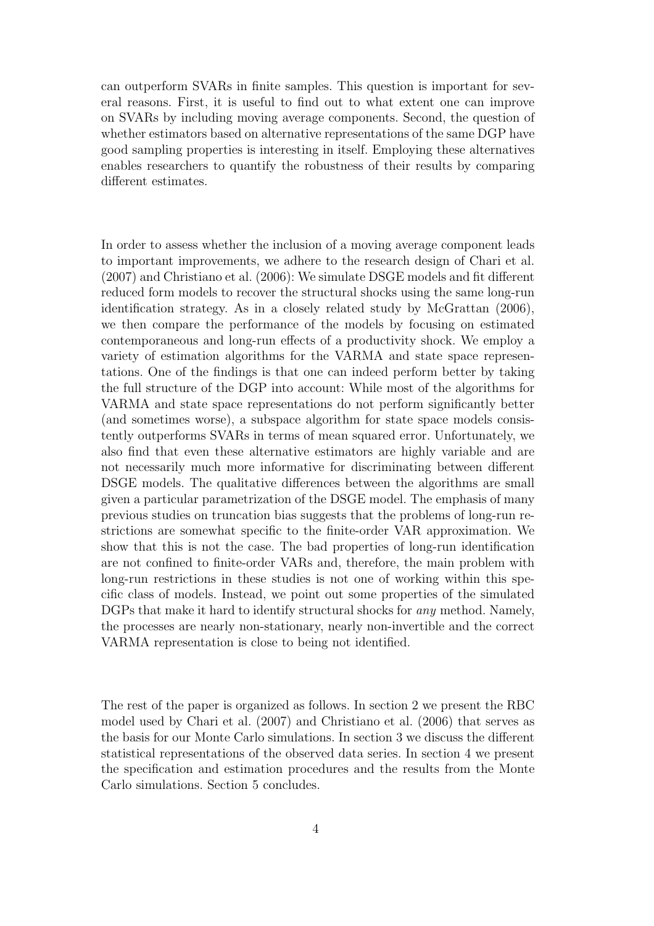can outperform SVARs in finite samples. This question is important for several reasons. First, it is useful to find out to what extent one can improve on SVARs by including moving average components. Second, the question of whether estimators based on alternative representations of the same DGP have good sampling properties is interesting in itself. Employing these alternatives enables researchers to quantify the robustness of their results by comparing different estimates.

In order to assess whether the inclusion of a moving average component leads to important improvements, we adhere to the research design of Chari et al. (2007) and Christiano et al. (2006): We simulate DSGE models and fit different reduced form models to recover the structural shocks using the same long-run identification strategy. As in a closely related study by McGrattan (2006), we then compare the performance of the models by focusing on estimated contemporaneous and long-run effects of a productivity shock. We employ a variety of estimation algorithms for the VARMA and state space representations. One of the findings is that one can indeed perform better by taking the full structure of the DGP into account: While most of the algorithms for VARMA and state space representations do not perform significantly better (and sometimes worse), a subspace algorithm for state space models consistently outperforms SVARs in terms of mean squared error. Unfortunately, we also find that even these alternative estimators are highly variable and are not necessarily much more informative for discriminating between different DSGE models. The qualitative differences between the algorithms are small given a particular parametrization of the DSGE model. The emphasis of many previous studies on truncation bias suggests that the problems of long-run restrictions are somewhat specific to the finite-order VAR approximation. We show that this is not the case. The bad properties of long-run identification are not confined to finite-order VARs and, therefore, the main problem with long-run restrictions in these studies is not one of working within this specific class of models. Instead, we point out some properties of the simulated DGPs that make it hard to identify structural shocks for any method. Namely, the processes are nearly non-stationary, nearly non-invertible and the correct VARMA representation is close to being not identified.

The rest of the paper is organized as follows. In section 2 we present the RBC model used by Chari et al. (2007) and Christiano et al. (2006) that serves as the basis for our Monte Carlo simulations. In section 3 we discuss the different statistical representations of the observed data series. In section 4 we present the specification and estimation procedures and the results from the Monte Carlo simulations. Section 5 concludes.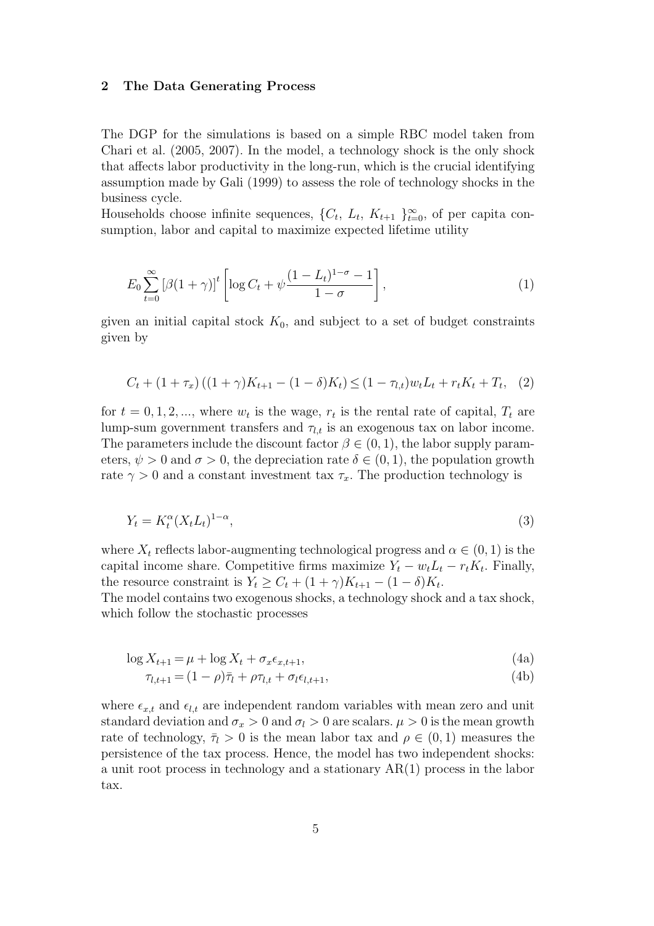#### 2 The Data Generating Process

The DGP for the simulations is based on a simple RBC model taken from Chari et al. (2005, 2007). In the model, a technology shock is the only shock that affects labor productivity in the long-run, which is the crucial identifying assumption made by Gali (1999) to assess the role of technology shocks in the business cycle.

Households choose infinite sequences,  $\{C_t, L_t, K_{t+1}\}_{t=0}^{\infty}$ , of per capita consumption, labor and capital to maximize expected lifetime utility

$$
E_0 \sum_{t=0}^{\infty} \left[ \beta (1 + \gamma) \right]^t \left[ \log C_t + \psi \frac{(1 - L_t)^{1 - \sigma} - 1}{1 - \sigma} \right],\tag{1}
$$

given an initial capital stock  $K_0$ , and subject to a set of budget constraints given by

$$
C_t + (1 + \tau_x)((1 + \gamma)K_{t+1} - (1 - \delta)K_t) \le (1 - \tau_{l,t})w_t L_t + r_t K_t + T_t, (2)
$$

for  $t = 0, 1, 2, \dots$ , where  $w_t$  is the wage,  $r_t$  is the rental rate of capital,  $T_t$  are lump-sum government transfers and  $\tau_{l,t}$  is an exogenous tax on labor income. The parameters include the discount factor  $\beta \in (0,1)$ , the labor supply parameters,  $\psi > 0$  and  $\sigma > 0$ , the depreciation rate  $\delta \in (0, 1)$ , the population growth rate  $\gamma > 0$  and a constant investment tax  $\tau_x$ . The production technology is

$$
Y_t = K_t^{\alpha} (X_t L_t)^{1-\alpha},\tag{3}
$$

where  $X_t$  reflects labor-augmenting technological progress and  $\alpha \in (0,1)$  is the capital income share. Competitive firms maximize  $Y_t - w_t L_t - r_t K_t$ . Finally, the resource constraint is  $Y_t \geq C_t + (1 + \gamma)K_{t+1} - (1 - \delta)K_t$ .

The model contains two exogenous shocks, a technology shock and a tax shock, which follow the stochastic processes

$$
\log X_{t+1} = \mu + \log X_t + \sigma_x \epsilon_{x,t+1},\tag{4a}
$$

$$
\tau_{l,t+1} = (1 - \rho)\overline{\tau}_l + \rho\tau_{l,t} + \sigma_l \epsilon_{l,t+1},\tag{4b}
$$

where  $\epsilon_{x,t}$  and  $\epsilon_{l,t}$  are independent random variables with mean zero and unit standard deviation and  $\sigma_x > 0$  and  $\sigma_l > 0$  are scalars.  $\mu > 0$  is the mean growth rate of technology,  $\bar{\tau}_l > 0$  is the mean labor tax and  $\rho \in (0, 1)$  measures the persistence of the tax process. Hence, the model has two independent shocks: a unit root process in technology and a stationary  $AR(1)$  process in the labor tax.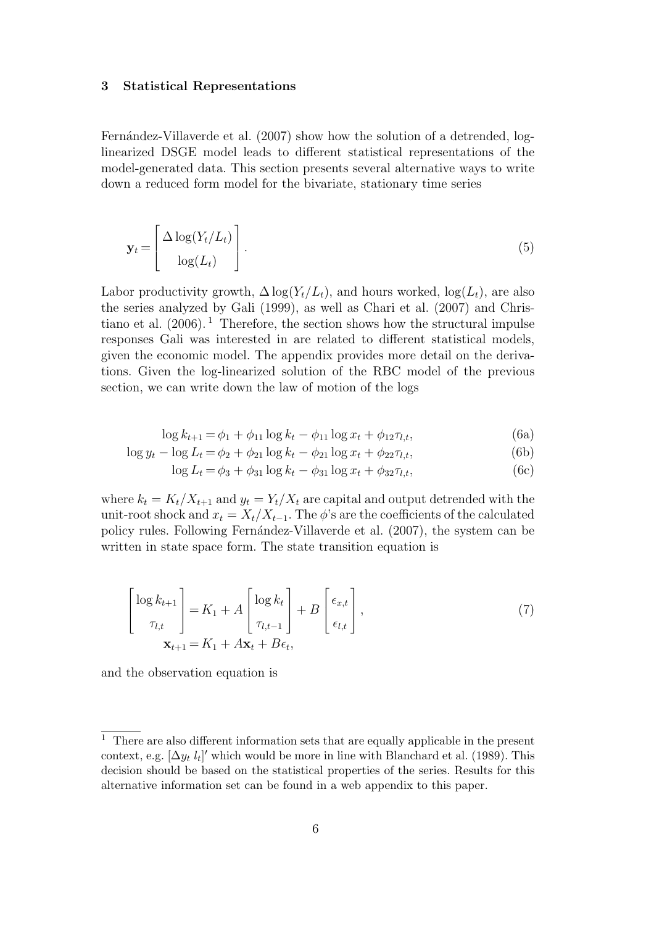#### 3 Statistical Representations

Fernández-Villaverde et al. (2007) show how the solution of a detrended, loglinearized DSGE model leads to different statistical representations of the model-generated data. This section presents several alternative ways to write down a reduced form model for the bivariate, stationary time series

$$
\mathbf{y}_t = \begin{bmatrix} \Delta \log(Y_t/L_t) \\ \log(L_t) \end{bmatrix} . \tag{5}
$$

Labor productivity growth,  $\Delta \log(Y_t/L_t)$ , and hours worked,  $\log(L_t)$ , are also the series analyzed by Gali (1999), as well as Chari et al. (2007) and Christiano et al.  $(2006).$ <sup>1</sup> Therefore, the section shows how the structural impulse responses Gali was interested in are related to different statistical models, given the economic model. The appendix provides more detail on the derivations. Given the log-linearized solution of the RBC model of the previous section, we can write down the law of motion of the logs

$$
\log k_{t+1} = \phi_1 + \phi_{11} \log k_t - \phi_{11} \log x_t + \phi_{12} \tau_{l,t},\tag{6a}
$$

$$
\log y_t - \log L_t = \phi_2 + \phi_{21} \log k_t - \phi_{21} \log x_t + \phi_{22} \tau_{l,t},\tag{6b}
$$

$$
\log L_t = \phi_3 + \phi_{31} \log k_t - \phi_{31} \log x_t + \phi_{32} \tau_{l,t},\tag{6c}
$$

where  $k_t = K_t/X_{t+1}$  and  $y_t = Y_t/X_t$  are capital and output detrended with the unit-root shock and  $x_t = X_t/X_{t-1}$ . The  $\phi$ 's are the coefficients of the calculated policy rules. Following Fernández-Villaverde et al. (2007), the system can be written in state space form. The state transition equation is

$$
\begin{bmatrix} \log k_{t+1} \\ \tau_{l,t} \end{bmatrix} = K_1 + A \begin{bmatrix} \log k_t \\ \tau_{l,t-1} \end{bmatrix} + B \begin{bmatrix} \epsilon_{x,t} \\ \epsilon_{l,t} \end{bmatrix},
$$
\n
$$
\mathbf{x}_{t+1} = K_1 + A\mathbf{x}_t + B\epsilon_t,
$$
\n(7)

and the observation equation is

 $1$  There are also different information sets that are equally applicable in the present context, e.g.  $[\Delta y_t l_t]'$  which would be more in line with Blanchard et al. (1989). This decision should be based on the statistical properties of the series. Results for this alternative information set can be found in a web appendix to this paper.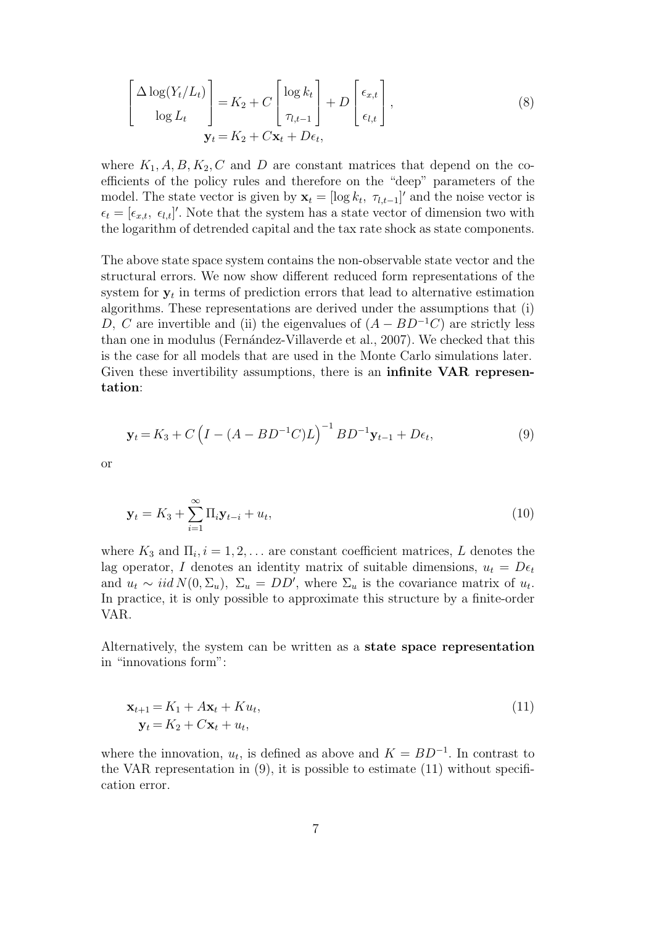$$
\begin{bmatrix}\n\Delta \log(Y_t/L_t) \\
\log L_t\n\end{bmatrix} = K_2 + C \begin{bmatrix}\n\log k_t \\
\tau_{l,t-1}\n\end{bmatrix} + D \begin{bmatrix}\n\epsilon_{x,t} \\
\epsilon_{l,t}\n\end{bmatrix},
$$
\n(8)\n
$$
\mathbf{y}_t = K_2 + C\mathbf{x}_t + D\epsilon_t,
$$

where  $K_1, A, B, K_2, C$  and D are constant matrices that depend on the coefficients of the policy rules and therefore on the "deep" parameters of the model. The state vector is given by  $\mathbf{x}_t = [\log k_t, \tau_{l,t-1}]'$  and the noise vector is  $\epsilon_t = [\epsilon_{x,t}, \epsilon_{l,t}]'$ . Note that the system has a state vector of dimension two with the logarithm of detrended capital and the tax rate shock as state components.

The above state space system contains the non-observable state vector and the structural errors. We now show different reduced form representations of the system for  $y_t$  in terms of prediction errors that lead to alternative estimation algorithms. These representations are derived under the assumptions that (i) D, C are invertible and (ii) the eigenvalues of  $(A - BD^{-1}C)$  are strictly less than one in modulus (Fernández-Villaverde et al., 2007). We checked that this is the case for all models that are used in the Monte Carlo simulations later. Given these invertibility assumptions, there is an **infinite VAR** representation:

$$
\mathbf{y}_t = K_3 + C \left( I - (A - BD^{-1}C)L \right)^{-1} BD^{-1} \mathbf{y}_{t-1} + D\epsilon_t,
$$
\n(9)

or

$$
\mathbf{y}_t = K_3 + \sum_{i=1}^{\infty} \Pi_i \mathbf{y}_{t-i} + u_t,\tag{10}
$$

where  $K_3$  and  $\Pi_i, i = 1, 2, \ldots$  are constant coefficient matrices, L denotes the lag operator, I denotes an identity matrix of suitable dimensions,  $u_t = D\epsilon_t$ and  $u_t \sim \text{iid } N(0, \Sigma_u)$ ,  $\Sigma_u = DD'$ , where  $\Sigma_u$  is the covariance matrix of  $u_t$ . In practice, it is only possible to approximate this structure by a finite-order VAR.

Alternatively, the system can be written as a state space representation in "innovations form":

$$
\mathbf{x}_{t+1} = K_1 + A\mathbf{x}_t + Ku_t,
$$
  
\n
$$
\mathbf{y}_t = K_2 + C\mathbf{x}_t + u_t,
$$
\n(11)

where the innovation,  $u_t$ , is defined as above and  $K = BD^{-1}$ . In contrast to the VAR representation in  $(9)$ , it is possible to estimate  $(11)$  without specification error.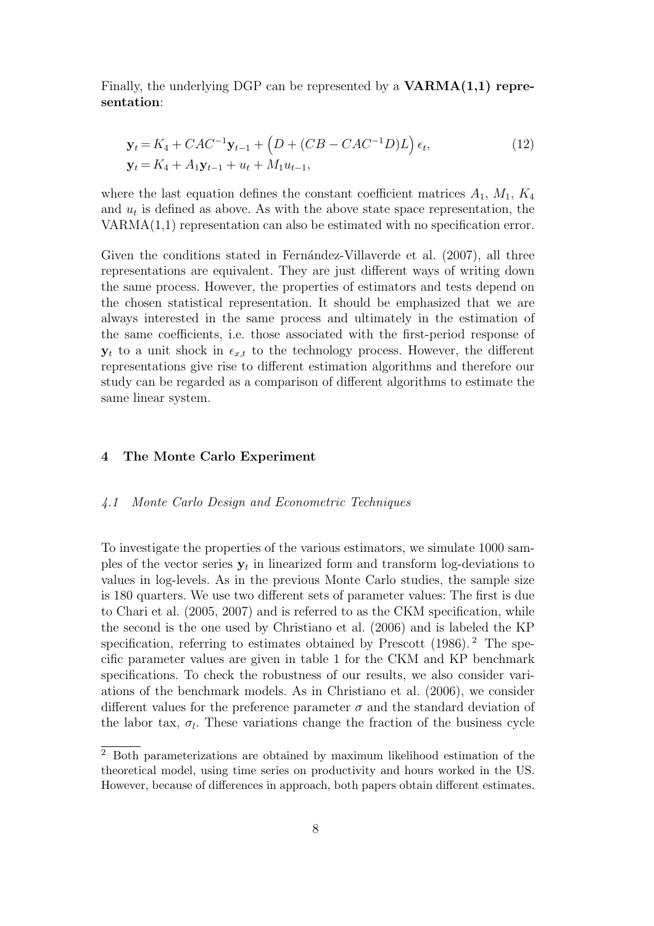Finally, the underlying DGP can be represented by a  $VARMA(1,1)$  representation:

$$
\mathbf{y}_{t} = K_{4} + CAC^{-1}\mathbf{y}_{t-1} + \left(D + (CB - CAC^{-1}D)L\right)\epsilon_{t},
$$
  
\n
$$
\mathbf{y}_{t} = K_{4} + A_{1}\mathbf{y}_{t-1} + u_{t} + M_{1}u_{t-1},
$$
\n(12)

where the last equation defines the constant coefficient matrices  $A_1$ ,  $M_1$ ,  $K_4$ and  $u_t$  is defined as above. As with the above state space representation, the  $VARMA(1,1)$  representation can also be estimated with no specification error.

Given the conditions stated in Fernández-Villaverde et al. (2007), all three representations are equivalent. They are just different ways of writing down the same process. However, the properties of estimators and tests depend on the chosen statistical representation. It should be emphasized that we are always interested in the same process and ultimately in the estimation of the same coefficients, i.e. those associated with the first-period response of  $y_t$  to a unit shock in  $\epsilon_{x,t}$  to the technology process. However, the different representations give rise to different estimation algorithms and therefore our study can be regarded as a comparison of different algorithms to estimate the same linear system.

## 4 The Monte Carlo Experiment

### 4.1 Monte Carlo Design and Econometric Techniques

To investigate the properties of the various estimators, we simulate 1000 samples of the vector series  $y_t$  in linearized form and transform log-deviations to values in log-levels. As in the previous Monte Carlo studies, the sample size is 180 quarters. We use two different sets of parameter values: The first is due to Chari et al. (2005, 2007) and is referred to as the CKM specification, while the second is the one used by Christiano et al. (2006) and is labeled the KP specification, referring to estimates obtained by Prescott  $(1986)$ . <sup>2</sup> The specific parameter values are given in table 1 for the CKM and KP benchmark specifications. To check the robustness of our results, we also consider variations of the benchmark models. As in Christiano et al. (2006), we consider different values for the preference parameter  $\sigma$  and the standard deviation of the labor tax,  $\sigma_l$ . These variations change the fraction of the business cycle

<sup>2</sup> Both parameterizations are obtained by maximum likelihood estimation of the theoretical model, using time series on productivity and hours worked in the US. However, because of differences in approach, both papers obtain different estimates.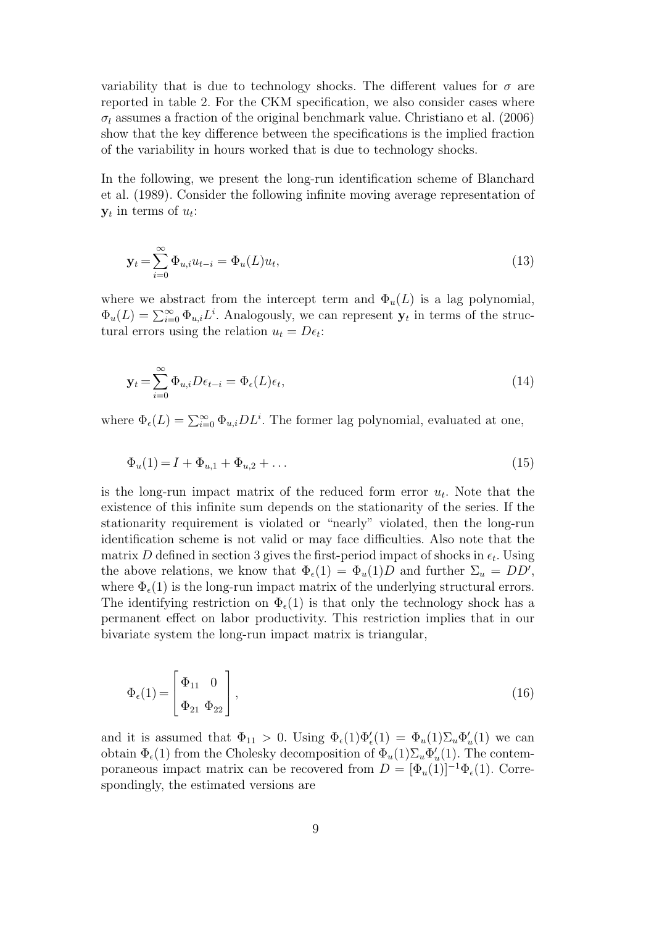variability that is due to technology shocks. The different values for  $\sigma$  are reported in table 2. For the CKM specification, we also consider cases where  $\sigma_l$  assumes a fraction of the original benchmark value. Christiano et al. (2006) show that the key difference between the specifications is the implied fraction of the variability in hours worked that is due to technology shocks.

In the following, we present the long-run identification scheme of Blanchard et al. (1989). Consider the following infinite moving average representation of  $\mathbf{y}_t$  in terms of  $u_t$ :

$$
\mathbf{y}_t = \sum_{i=0}^{\infty} \Phi_{u,i} u_{t-i} = \Phi_u(L) u_t,
$$
\n(13)

where we abstract from the intercept term and  $\Phi_u(L)$  is a lag polynomial,  $\Phi_u(L) = \sum_{i=0}^{\infty} \Phi_{u,i} L^i$ . Analogously, we can represent  $\mathbf{y}_t$  in terms of the structural errors using the relation  $u_t = D\epsilon_t$ :

$$
\mathbf{y}_t = \sum_{i=0}^{\infty} \Phi_{u,i} D \epsilon_{t-i} = \Phi_{\epsilon}(L) \epsilon_t,
$$
\n(14)

where  $\Phi_{\epsilon}(L) = \sum_{i=0}^{\infty} \Phi_{u,i} D L^{i}$ . The former lag polynomial, evaluated at one,

$$
\Phi_u(1) = I + \Phi_{u,1} + \Phi_{u,2} + \dots \tag{15}
$$

is the long-run impact matrix of the reduced form error  $u_t$ . Note that the existence of this infinite sum depends on the stationarity of the series. If the stationarity requirement is violated or "nearly" violated, then the long-run identification scheme is not valid or may face difficulties. Also note that the matrix D defined in section 3 gives the first-period impact of shocks in  $\epsilon_t$ . Using the above relations, we know that  $\Phi_{\epsilon}(1) = \Phi_u(1)D$  and further  $\Sigma_u = DD'$ , where  $\Phi_{\epsilon}(1)$  is the long-run impact matrix of the underlying structural errors. The identifying restriction on  $\Phi_{\epsilon}(1)$  is that only the technology shock has a permanent effect on labor productivity. This restriction implies that in our bivariate system the long-run impact matrix is triangular,

$$
\Phi_{\epsilon}(1) = \begin{bmatrix} \Phi_{11} & 0 \\ \Phi_{21} & \Phi_{22} \end{bmatrix},\tag{16}
$$

and it is assumed that  $\Phi_{11} > 0$ . Using  $\Phi_{\epsilon}(1)\Phi_{\epsilon}'(1) = \Phi_{u}(1)\Sigma_{u}\Phi_{u}'(1)$  we can obtain  $\Phi_{\epsilon}(1)$  from the Cholesky decomposition of  $\Phi_u(1)\Sigma_u\Phi'_u(1)$ . The contemporaneous impact matrix can be recovered from  $D = [\Phi_u(1)]^{-1} \Phi_{\epsilon}(1)$ . Correspondingly, the estimated versions are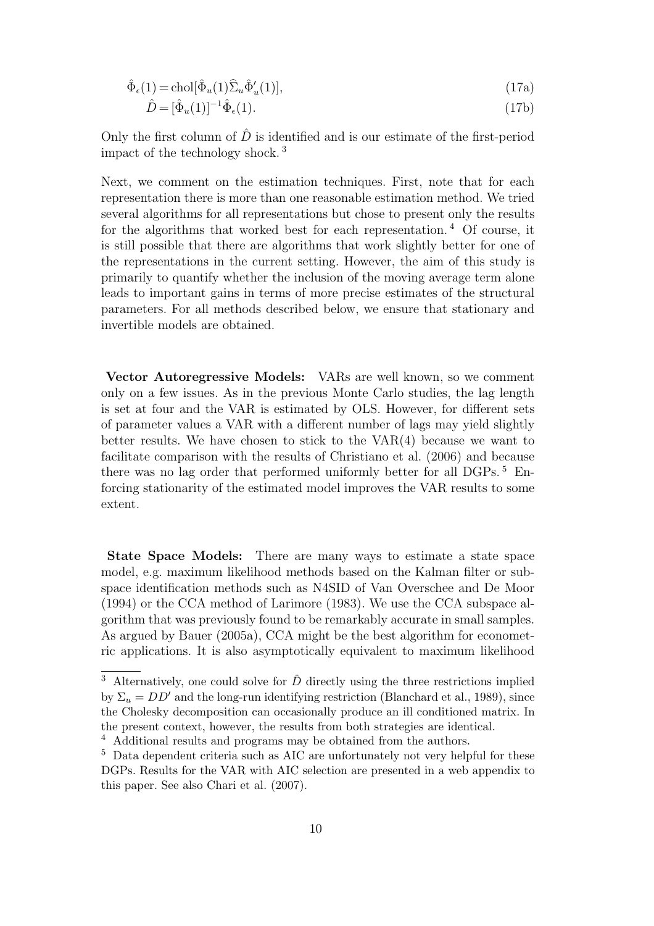$$
\hat{\Phi}_{\epsilon}(1) = \text{chol}[\hat{\Phi}_u(1)\hat{\Sigma}_u \hat{\Phi}'_u(1)],\tag{17a}
$$

$$
\hat{D} = [\hat{\Phi}_u(1)]^{-1} \hat{\Phi}_\epsilon(1). \tag{17b}
$$

Only the first column of  $\hat{D}$  is identified and is our estimate of the first-period impact of the technology shock. <sup>3</sup>

Next, we comment on the estimation techniques. First, note that for each representation there is more than one reasonable estimation method. We tried several algorithms for all representations but chose to present only the results for the algorithms that worked best for each representation. <sup>4</sup> Of course, it is still possible that there are algorithms that work slightly better for one of the representations in the current setting. However, the aim of this study is primarily to quantify whether the inclusion of the moving average term alone leads to important gains in terms of more precise estimates of the structural parameters. For all methods described below, we ensure that stationary and invertible models are obtained.

Vector Autoregressive Models: VARs are well known, so we comment only on a few issues. As in the previous Monte Carlo studies, the lag length is set at four and the VAR is estimated by OLS. However, for different sets of parameter values a VAR with a different number of lags may yield slightly better results. We have chosen to stick to the  $VAR(4)$  because we want to facilitate comparison with the results of Christiano et al. (2006) and because there was no lag order that performed uniformly better for all DGPs.<sup>5</sup> Enforcing stationarity of the estimated model improves the VAR results to some extent.

State Space Models: There are many ways to estimate a state space model, e.g. maximum likelihood methods based on the Kalman filter or subspace identification methods such as N4SID of Van Overschee and De Moor (1994) or the CCA method of Larimore (1983). We use the CCA subspace algorithm that was previously found to be remarkably accurate in small samples. As argued by Bauer (2005a), CCA might be the best algorithm for econometric applications. It is also asymptotically equivalent to maximum likelihood

<sup>&</sup>lt;sup>3</sup> Alternatively, one could solve for  $\hat{D}$  directly using the three restrictions implied by  $\Sigma_u = DD'$  and the long-run identifying restriction (Blanchard et al., 1989), since the Cholesky decomposition can occasionally produce an ill conditioned matrix. In the present context, however, the results from both strategies are identical.

<sup>&</sup>lt;sup>4</sup> Additional results and programs may be obtained from the authors.

<sup>5</sup> Data dependent criteria such as AIC are unfortunately not very helpful for these DGPs. Results for the VAR with AIC selection are presented in a web appendix to this paper. See also Chari et al. (2007).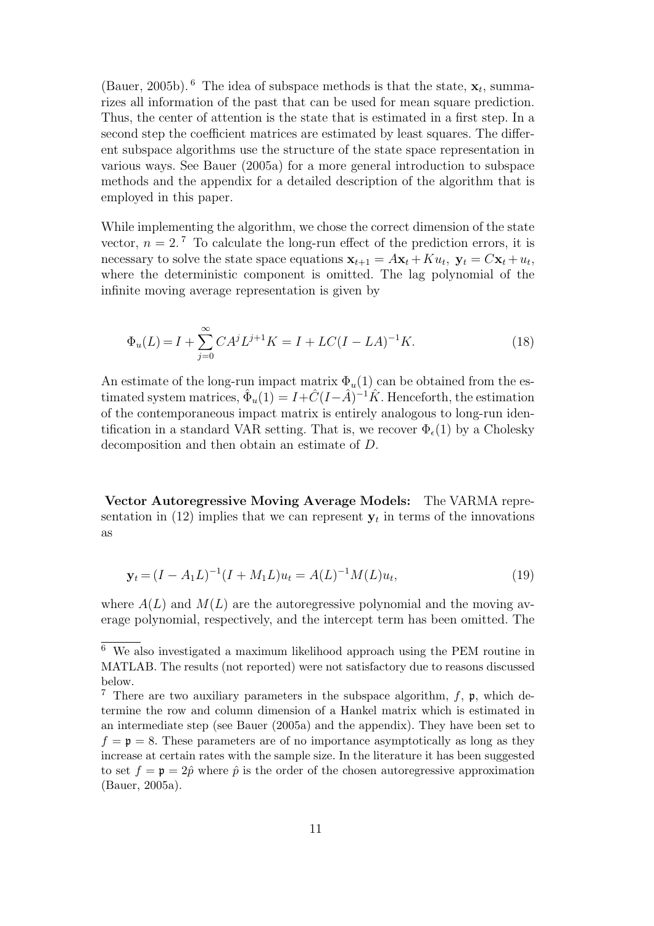(Bauer, 2005b). <sup>6</sup> The idea of subspace methods is that the state,  $\mathbf{x}_t$ , summarizes all information of the past that can be used for mean square prediction. Thus, the center of attention is the state that is estimated in a first step. In a second step the coefficient matrices are estimated by least squares. The different subspace algorithms use the structure of the state space representation in various ways. See Bauer (2005a) for a more general introduction to subspace methods and the appendix for a detailed description of the algorithm that is employed in this paper.

While implementing the algorithm, we chose the correct dimension of the state vector,  $n = 2$ .<sup>7</sup> To calculate the long-run effect of the prediction errors, it is necessary to solve the state space equations  $\mathbf{x}_{t+1} = A\mathbf{x}_t + Ku_t$ ,  $\mathbf{y}_t = C\mathbf{x}_t + u_t$ , where the deterministic component is omitted. The lag polynomial of the infinite moving average representation is given by

$$
\Phi_u(L) = I + \sum_{j=0}^{\infty} C A^j L^{j+1} K = I + LC(I - LA)^{-1} K.
$$
 (18)

An estimate of the long-run impact matrix  $\Phi_u(1)$  can be obtained from the estimated system matrices,  $\hat{\Phi}_u(1) = I + \hat{C}(I - \hat{A})^{-1}\hat{K}$ . Henceforth, the estimation of the contemporaneous impact matrix is entirely analogous to long-run identification in a standard VAR setting. That is, we recover  $\Phi_{\epsilon}(1)$  by a Cholesky decomposition and then obtain an estimate of D.

Vector Autoregressive Moving Average Models: The VARMA representation in (12) implies that we can represent  $y_t$  in terms of the innovations as

$$
\mathbf{y}_t = (I - A_1 L)^{-1} (I + M_1 L) u_t = A(L)^{-1} M(L) u_t,\tag{19}
$$

where  $A(L)$  and  $M(L)$  are the autoregressive polynomial and the moving average polynomial, respectively, and the intercept term has been omitted. The

<sup>6</sup> We also investigated a maximum likelihood approach using the PEM routine in MATLAB. The results (not reported) were not satisfactory due to reasons discussed below.

<sup>&</sup>lt;sup>7</sup> There are two auxiliary parameters in the subspace algorithm,  $f$ ,  $\mathfrak{p}$ , which determine the row and column dimension of a Hankel matrix which is estimated in an intermediate step (see Bauer (2005a) and the appendix). They have been set to  $f = \mathfrak{p} = 8$ . These parameters are of no importance asymptotically as long as they increase at certain rates with the sample size. In the literature it has been suggested to set  $f = \mathfrak{p} = 2\hat{p}$  where  $\hat{p}$  is the order of the chosen autoregressive approximation (Bauer, 2005a).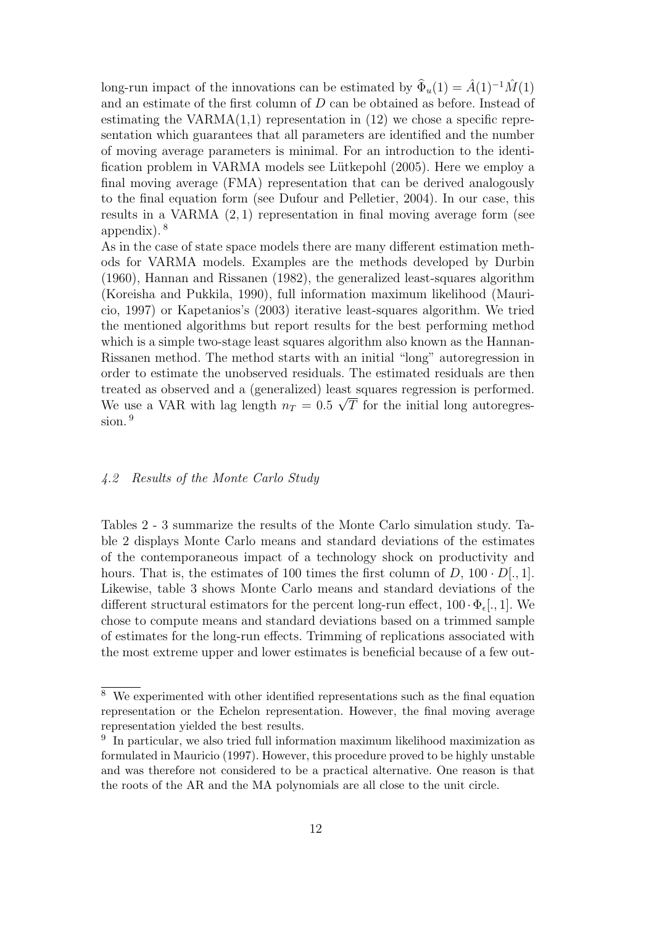long-run impact of the innovations can be estimated by  $\hat{\Phi}_u(1) = \hat{A}(1)^{-1} \hat{M}(1)$ and an estimate of the first column of D can be obtained as before. Instead of estimating the  $VARMA(1,1)$  representation in  $(12)$  we chose a specific representation which guarantees that all parameters are identified and the number of moving average parameters is minimal. For an introduction to the identification problem in VARMA models see Lütkepohl  $(2005)$ . Here we employ a final moving average (FMA) representation that can be derived analogously to the final equation form (see Dufour and Pelletier, 2004). In our case, this results in a VARMA  $(2,1)$  representation in final moving average form (see appendix). <sup>8</sup>

As in the case of state space models there are many different estimation methods for VARMA models. Examples are the methods developed by Durbin (1960), Hannan and Rissanen (1982), the generalized least-squares algorithm (Koreisha and Pukkila, 1990), full information maximum likelihood (Mauricio, 1997) or Kapetanios's (2003) iterative least-squares algorithm. We tried the mentioned algorithms but report results for the best performing method which is a simple two-stage least squares algorithm also known as the Hannan-Rissanen method. The method starts with an initial "long" autoregression in order to estimate the unobserved residuals. The estimated residuals are then treated as observed and a (generalized) least squares regression is performed. We use a VAR with lag length  $n_T = 0.5 \sqrt{T}$  for the initial long autoregression. <sup>9</sup>

# 4.2 Results of the Monte Carlo Study

Tables 2 - 3 summarize the results of the Monte Carlo simulation study. Table 2 displays Monte Carlo means and standard deviations of the estimates of the contemporaneous impact of a technology shock on productivity and hours. That is, the estimates of 100 times the first column of  $D$ , 100  $\cdot$   $D[$ ., 1]. Likewise, table 3 shows Monte Carlo means and standard deviations of the different structural estimators for the percent long-run effect,  $100 \cdot \Phi_{\epsilon}$ . 1. chose to compute means and standard deviations based on a trimmed sample of estimates for the long-run effects. Trimming of replications associated with the most extreme upper and lower estimates is beneficial because of a few out-

<sup>8</sup> We experimented with other identified representations such as the final equation representation or the Echelon representation. However, the final moving average representation yielded the best results.

<sup>&</sup>lt;sup>9</sup> In particular, we also tried full information maximum likelihood maximization as formulated in Mauricio (1997). However, this procedure proved to be highly unstable and was therefore not considered to be a practical alternative. One reason is that the roots of the AR and the MA polynomials are all close to the unit circle.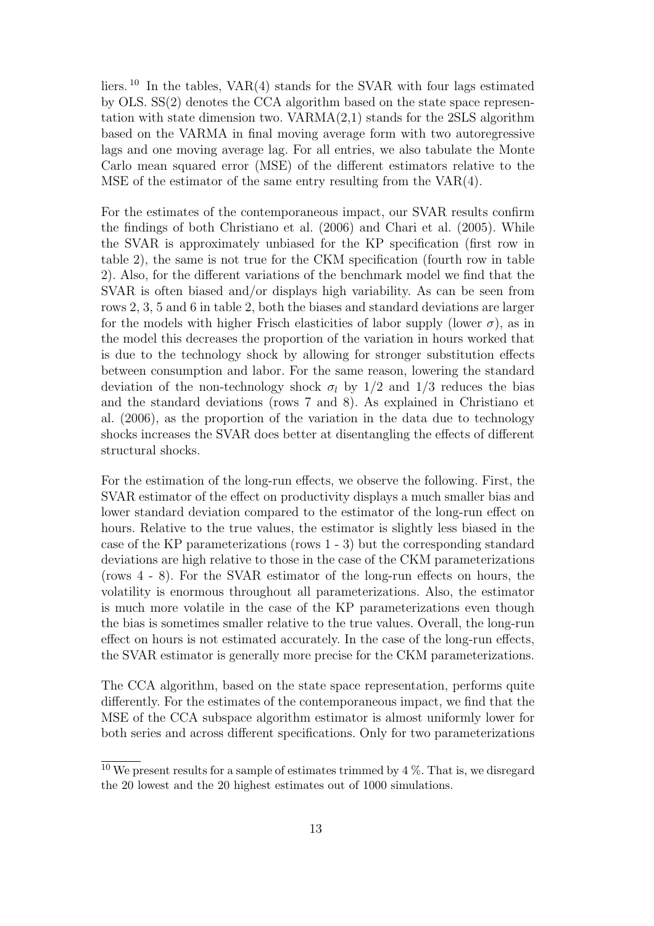liers. <sup>10</sup> In the tables,  $VAR(4)$  stands for the SVAR with four lags estimated by OLS. SS(2) denotes the CCA algorithm based on the state space representation with state dimension two.  $VARMA(2,1)$  stands for the 2SLS algorithm based on the VARMA in final moving average form with two autoregressive lags and one moving average lag. For all entries, we also tabulate the Monte Carlo mean squared error (MSE) of the different estimators relative to the MSE of the estimator of the same entry resulting from the VAR(4).

For the estimates of the contemporaneous impact, our SVAR results confirm the findings of both Christiano et al. (2006) and Chari et al. (2005). While the SVAR is approximately unbiased for the KP specification (first row in table 2), the same is not true for the CKM specification (fourth row in table 2). Also, for the different variations of the benchmark model we find that the SVAR is often biased and/or displays high variability. As can be seen from rows 2, 3, 5 and 6 in table 2, both the biases and standard deviations are larger for the models with higher Frisch elasticities of labor supply (lower  $\sigma$ ), as in the model this decreases the proportion of the variation in hours worked that is due to the technology shock by allowing for stronger substitution effects between consumption and labor. For the same reason, lowering the standard deviation of the non-technology shock  $\sigma_l$  by 1/2 and 1/3 reduces the bias and the standard deviations (rows 7 and 8). As explained in Christiano et al. (2006), as the proportion of the variation in the data due to technology shocks increases the SVAR does better at disentangling the effects of different structural shocks.

For the estimation of the long-run effects, we observe the following. First, the SVAR estimator of the effect on productivity displays a much smaller bias and lower standard deviation compared to the estimator of the long-run effect on hours. Relative to the true values, the estimator is slightly less biased in the case of the KP parameterizations (rows 1 - 3) but the corresponding standard deviations are high relative to those in the case of the CKM parameterizations (rows 4 - 8). For the SVAR estimator of the long-run effects on hours, the volatility is enormous throughout all parameterizations. Also, the estimator is much more volatile in the case of the KP parameterizations even though the bias is sometimes smaller relative to the true values. Overall, the long-run effect on hours is not estimated accurately. In the case of the long-run effects, the SVAR estimator is generally more precise for the CKM parameterizations.

The CCA algorithm, based on the state space representation, performs quite differently. For the estimates of the contemporaneous impact, we find that the MSE of the CCA subspace algorithm estimator is almost uniformly lower for both series and across different specifications. Only for two parameterizations

<sup>&</sup>lt;sup>10</sup> We present results for a sample of estimates trimmed by  $4\%$ . That is, we disregard the 20 lowest and the 20 highest estimates out of 1000 simulations.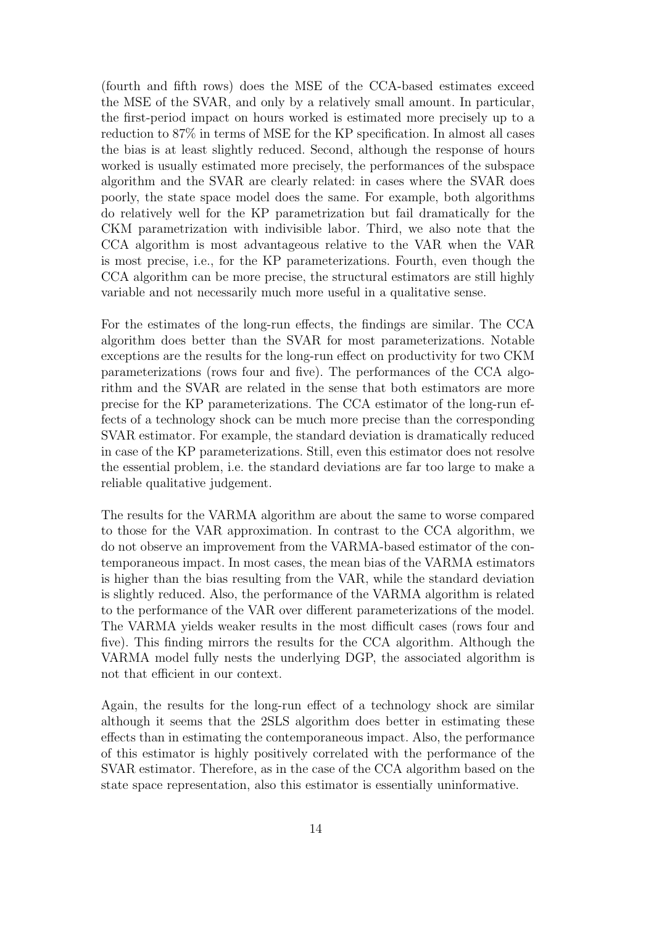(fourth and fifth rows) does the MSE of the CCA-based estimates exceed the MSE of the SVAR, and only by a relatively small amount. In particular, the first-period impact on hours worked is estimated more precisely up to a reduction to 87% in terms of MSE for the KP specification. In almost all cases the bias is at least slightly reduced. Second, although the response of hours worked is usually estimated more precisely, the performances of the subspace algorithm and the SVAR are clearly related: in cases where the SVAR does poorly, the state space model does the same. For example, both algorithms do relatively well for the KP parametrization but fail dramatically for the CKM parametrization with indivisible labor. Third, we also note that the CCA algorithm is most advantageous relative to the VAR when the VAR is most precise, i.e., for the KP parameterizations. Fourth, even though the CCA algorithm can be more precise, the structural estimators are still highly variable and not necessarily much more useful in a qualitative sense.

For the estimates of the long-run effects, the findings are similar. The CCA algorithm does better than the SVAR for most parameterizations. Notable exceptions are the results for the long-run effect on productivity for two CKM parameterizations (rows four and five). The performances of the CCA algorithm and the SVAR are related in the sense that both estimators are more precise for the KP parameterizations. The CCA estimator of the long-run effects of a technology shock can be much more precise than the corresponding SVAR estimator. For example, the standard deviation is dramatically reduced in case of the KP parameterizations. Still, even this estimator does not resolve the essential problem, i.e. the standard deviations are far too large to make a reliable qualitative judgement.

The results for the VARMA algorithm are about the same to worse compared to those for the VAR approximation. In contrast to the CCA algorithm, we do not observe an improvement from the VARMA-based estimator of the contemporaneous impact. In most cases, the mean bias of the VARMA estimators is higher than the bias resulting from the VAR, while the standard deviation is slightly reduced. Also, the performance of the VARMA algorithm is related to the performance of the VAR over different parameterizations of the model. The VARMA yields weaker results in the most difficult cases (rows four and five). This finding mirrors the results for the CCA algorithm. Although the VARMA model fully nests the underlying DGP, the associated algorithm is not that efficient in our context.

Again, the results for the long-run effect of a technology shock are similar although it seems that the 2SLS algorithm does better in estimating these effects than in estimating the contemporaneous impact. Also, the performance of this estimator is highly positively correlated with the performance of the SVAR estimator. Therefore, as in the case of the CCA algorithm based on the state space representation, also this estimator is essentially uninformative.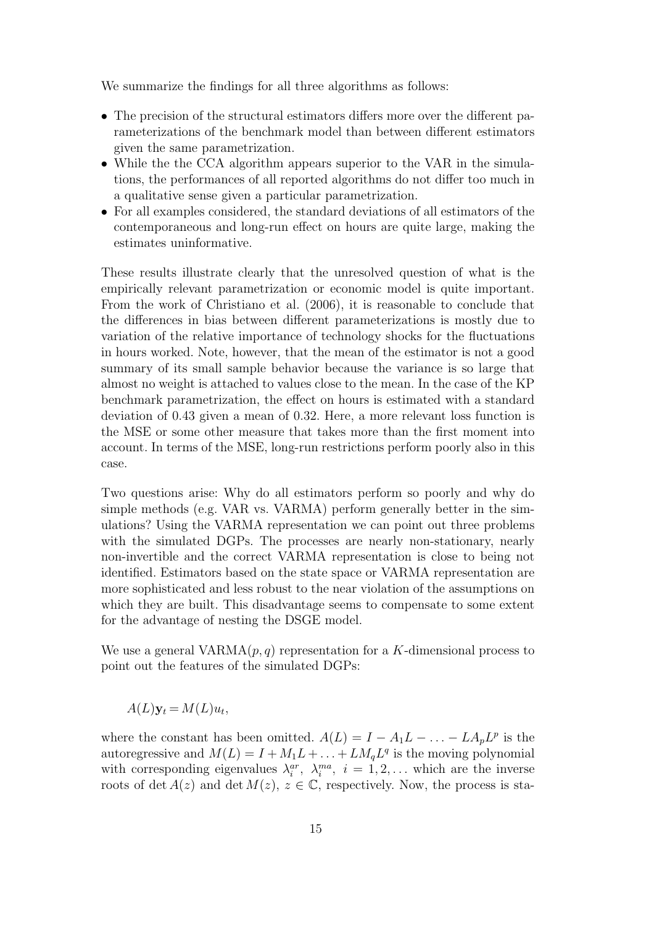We summarize the findings for all three algorithms as follows:

- The precision of the structural estimators differs more over the different parameterizations of the benchmark model than between different estimators given the same parametrization.
- While the the CCA algorithm appears superior to the VAR in the simulations, the performances of all reported algorithms do not differ too much in a qualitative sense given a particular parametrization.
- For all examples considered, the standard deviations of all estimators of the contemporaneous and long-run effect on hours are quite large, making the estimates uninformative.

These results illustrate clearly that the unresolved question of what is the empirically relevant parametrization or economic model is quite important. From the work of Christiano et al. (2006), it is reasonable to conclude that the differences in bias between different parameterizations is mostly due to variation of the relative importance of technology shocks for the fluctuations in hours worked. Note, however, that the mean of the estimator is not a good summary of its small sample behavior because the variance is so large that almost no weight is attached to values close to the mean. In the case of the KP benchmark parametrization, the effect on hours is estimated with a standard deviation of 0.43 given a mean of 0.32. Here, a more relevant loss function is the MSE or some other measure that takes more than the first moment into account. In terms of the MSE, long-run restrictions perform poorly also in this case.

Two questions arise: Why do all estimators perform so poorly and why do simple methods (e.g. VAR vs. VARMA) perform generally better in the simulations? Using the VARMA representation we can point out three problems with the simulated DGPs. The processes are nearly non-stationary, nearly non-invertible and the correct VARMA representation is close to being not identified. Estimators based on the state space or VARMA representation are more sophisticated and less robust to the near violation of the assumptions on which they are built. This disadvantage seems to compensate to some extent for the advantage of nesting the DSGE model.

We use a general  $VARMA(p, q)$  representation for a K-dimensional process to point out the features of the simulated DGPs:

$$
A(L)\mathbf{y}_t = M(L)u_t,
$$

where the constant has been omitted.  $A(L) = I - A_1 L - \ldots - L A_p L^p$  is the autoregressive and  $M(L) = I + M_1 L + \ldots + L M_q L^q$  is the moving polynomial with corresponding eigenvalues  $\lambda_i^{ar}$ ,  $\lambda_i^{ma}$ ,  $i = 1, 2, \dots$  which are the inverse roots of det  $A(z)$  and det  $M(z)$ ,  $z \in \mathbb{C}$ , respectively. Now, the process is sta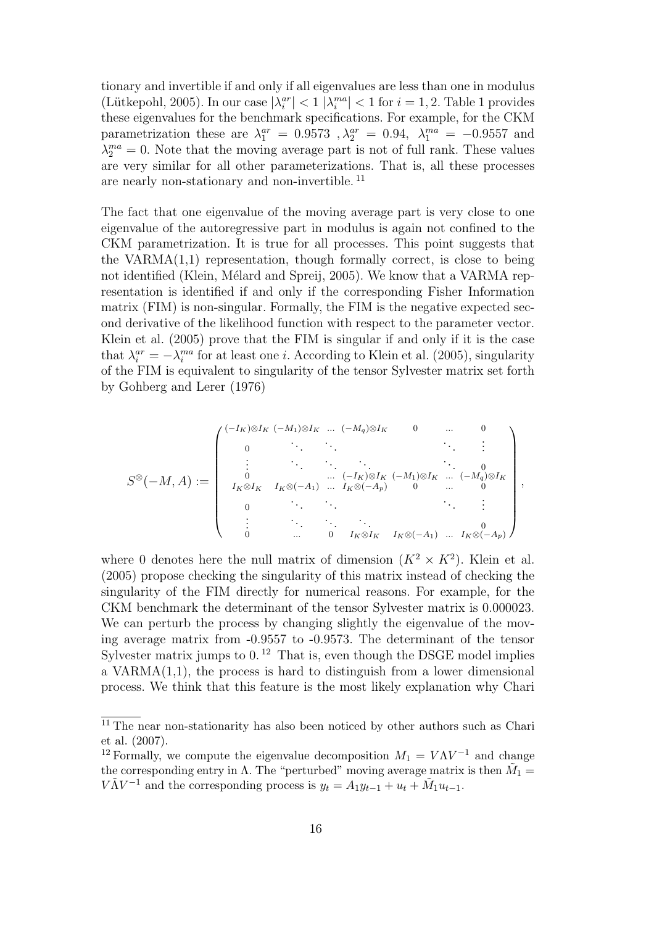tionary and invertible if and only if all eigenvalues are less than one in modulus (Lütkepohl, 2005). In our case  $|\lambda_i^{ar}| < 1 |\lambda_i^{ma}| < 1$  for  $i = 1, 2$ . Table 1 provides these eigenvalues for the benchmark specifications. For example, for the CKM parametrization these are  $\lambda_1^{ar} = 0.9573$ ,  $\lambda_2^{ar} = 0.94$ ,  $\lambda_1^{ma} = -0.9557$  and  $\lambda_2^{ma} = 0$ . Note that the moving average part is not of full rank. These values are very similar for all other parameterizations. That is, all these processes are nearly non-stationary and non-invertible. <sup>11</sup>

The fact that one eigenvalue of the moving average part is very close to one eigenvalue of the autoregressive part in modulus is again not confined to the CKM parametrization. It is true for all processes. This point suggests that the  $VARMA(1,1)$  representation, though formally correct, is close to being not identified (Klein, Mélard and Spreij, 2005). We know that a VARMA representation is identified if and only if the corresponding Fisher Information matrix (FIM) is non-singular. Formally, the FIM is the negative expected second derivative of the likelihood function with respect to the parameter vector. Klein et al. (2005) prove that the FIM is singular if and only if it is the case that  $\lambda_i^{ar} = -\lambda_i^{ma}$  for at least one *i*. According to Klein et al. (2005), singularity of the FIM is equivalent to singularity of the tensor Sylvester matrix set forth by Gohberg and Lerer (1976)

$$
S^{\otimes}(-M, A) := \begin{pmatrix} (-I_K) \otimes I_K & (-M_1) \otimes I_K & \dots & (-M_q) \otimes I_K & 0 & \dots & 0 \\ 0 & \ddots & \ddots & & & \vdots \\ \vdots & & & \ddots & \vdots & \vdots \\ 0 & & & & \dots & (-I_K) \otimes I_K & (-M_1) \otimes I_K & \dots & (-M_q) \otimes I_K \\ I_K \otimes I_K & I_K \otimes (-A_1) & \dots & I_K \otimes (-A_p) & 0 & \dots & 0 \\ 0 & \dots & 0 & I_K \otimes I_K & I_K \otimes (-A_1) & \dots & I_K \otimes (-A_p) \end{pmatrix},
$$

where 0 denotes here the null matrix of dimension  $(K^2 \times K^2)$ . Klein et al. (2005) propose checking the singularity of this matrix instead of checking the singularity of the FIM directly for numerical reasons. For example, for the CKM benchmark the determinant of the tensor Sylvester matrix is 0.000023. We can perturb the process by changing slightly the eigenvalue of the moving average matrix from -0.9557 to -0.9573. The determinant of the tensor Sylvester matrix jumps to  $0<sup>12</sup>$  That is, even though the DSGE model implies a VARMA(1,1), the process is hard to distinguish from a lower dimensional process. We think that this feature is the most likely explanation why Chari

 $\overline{11}$  The near non-stationarity has also been noticed by other authors such as Chari et al. (2007).

<sup>&</sup>lt;sup>12</sup> Formally, we compute the eigenvalue decomposition  $M_1 = V\Lambda V^{-1}$  and change the corresponding entry in  $\Lambda$ . The "perturbed" moving average matrix is then  $\tilde{M}_1 =$  $V\tilde{\Lambda}V^{-1}$  and the corresponding process is  $y_t = A_1y_{t-1} + u_t + \tilde{M}_1u_{t-1}$ .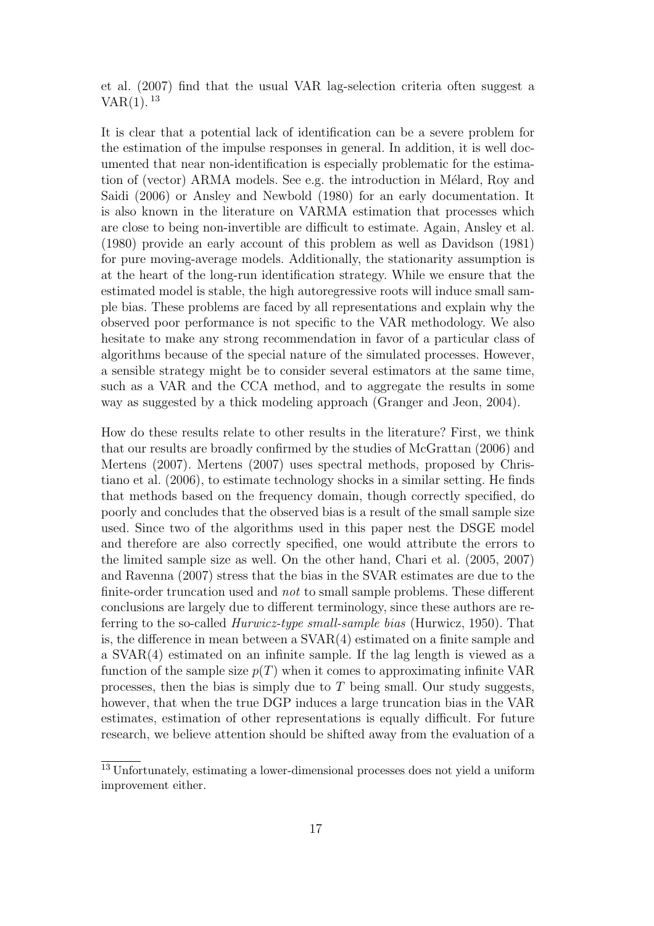et al. (2007) find that the usual VAR lag-selection criteria often suggest a  $VAR(1).$ <sup>13</sup>

It is clear that a potential lack of identification can be a severe problem for the estimation of the impulse responses in general. In addition, it is well documented that near non-identification is especially problematic for the estimation of (vector) ARMA models. See e.g. the introduction in Mélard, Roy and Saidi (2006) or Ansley and Newbold (1980) for an early documentation. It is also known in the literature on VARMA estimation that processes which are close to being non-invertible are difficult to estimate. Again, Ansley et al. (1980) provide an early account of this problem as well as Davidson (1981) for pure moving-average models. Additionally, the stationarity assumption is at the heart of the long-run identification strategy. While we ensure that the estimated model is stable, the high autoregressive roots will induce small sample bias. These problems are faced by all representations and explain why the observed poor performance is not specific to the VAR methodology. We also hesitate to make any strong recommendation in favor of a particular class of algorithms because of the special nature of the simulated processes. However, a sensible strategy might be to consider several estimators at the same time, such as a VAR and the CCA method, and to aggregate the results in some way as suggested by a thick modeling approach (Granger and Jeon, 2004).

How do these results relate to other results in the literature? First, we think that our results are broadly confirmed by the studies of McGrattan (2006) and Mertens (2007). Mertens (2007) uses spectral methods, proposed by Christiano et al. (2006), to estimate technology shocks in a similar setting. He finds that methods based on the frequency domain, though correctly specified, do poorly and concludes that the observed bias is a result of the small sample size used. Since two of the algorithms used in this paper nest the DSGE model and therefore are also correctly specified, one would attribute the errors to the limited sample size as well. On the other hand, Chari et al. (2005, 2007) and Ravenna (2007) stress that the bias in the SVAR estimates are due to the finite-order truncation used and not to small sample problems. These different conclusions are largely due to different terminology, since these authors are referring to the so-called Hurwicz-type small-sample bias (Hurwicz, 1950). That is, the difference in mean between a SVAR(4) estimated on a finite sample and a SVAR(4) estimated on an infinite sample. If the lag length is viewed as a function of the sample size  $p(T)$  when it comes to approximating infinite VAR processes, then the bias is simply due to  $T$  being small. Our study suggests, however, that when the true DGP induces a large truncation bias in the VAR estimates, estimation of other representations is equally difficult. For future research, we believe attention should be shifted away from the evaluation of a

<sup>13</sup> Unfortunately, estimating a lower-dimensional processes does not yield a uniform improvement either.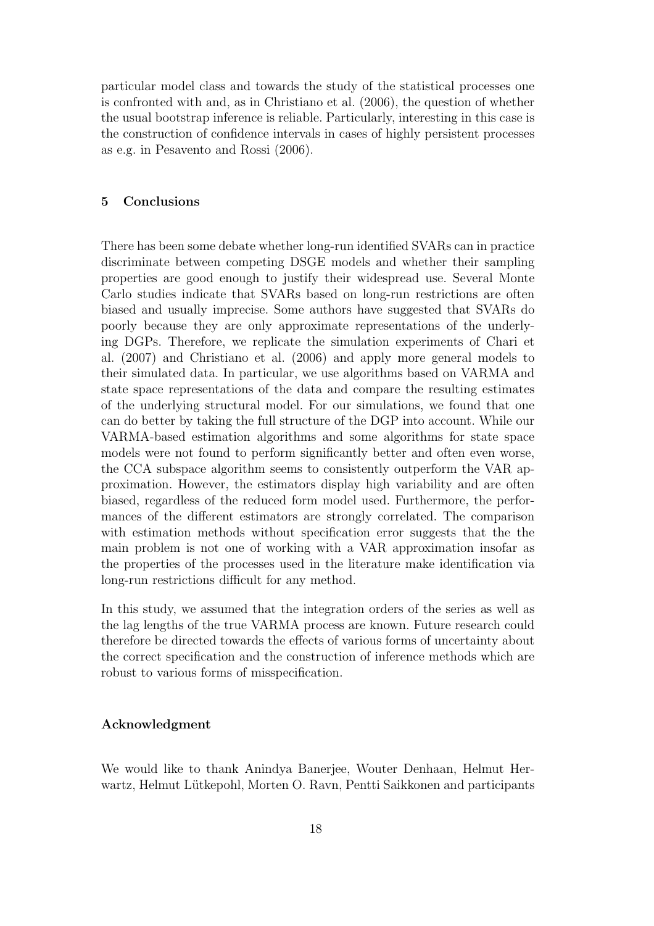particular model class and towards the study of the statistical processes one is confronted with and, as in Christiano et al. (2006), the question of whether the usual bootstrap inference is reliable. Particularly, interesting in this case is the construction of confidence intervals in cases of highly persistent processes as e.g. in Pesavento and Rossi (2006).

# 5 Conclusions

There has been some debate whether long-run identified SVARs can in practice discriminate between competing DSGE models and whether their sampling properties are good enough to justify their widespread use. Several Monte Carlo studies indicate that SVARs based on long-run restrictions are often biased and usually imprecise. Some authors have suggested that SVARs do poorly because they are only approximate representations of the underlying DGPs. Therefore, we replicate the simulation experiments of Chari et al. (2007) and Christiano et al. (2006) and apply more general models to their simulated data. In particular, we use algorithms based on VARMA and state space representations of the data and compare the resulting estimates of the underlying structural model. For our simulations, we found that one can do better by taking the full structure of the DGP into account. While our VARMA-based estimation algorithms and some algorithms for state space models were not found to perform significantly better and often even worse, the CCA subspace algorithm seems to consistently outperform the VAR approximation. However, the estimators display high variability and are often biased, regardless of the reduced form model used. Furthermore, the performances of the different estimators are strongly correlated. The comparison with estimation methods without specification error suggests that the the main problem is not one of working with a VAR approximation insofar as the properties of the processes used in the literature make identification via long-run restrictions difficult for any method.

In this study, we assumed that the integration orders of the series as well as the lag lengths of the true VARMA process are known. Future research could therefore be directed towards the effects of various forms of uncertainty about the correct specification and the construction of inference methods which are robust to various forms of misspecification.

# Acknowledgment

We would like to thank Anindya Banerjee, Wouter Denhaan, Helmut Herwartz, Helmut Lütkepohl, Morten O. Ravn, Pentti Saikkonen and participants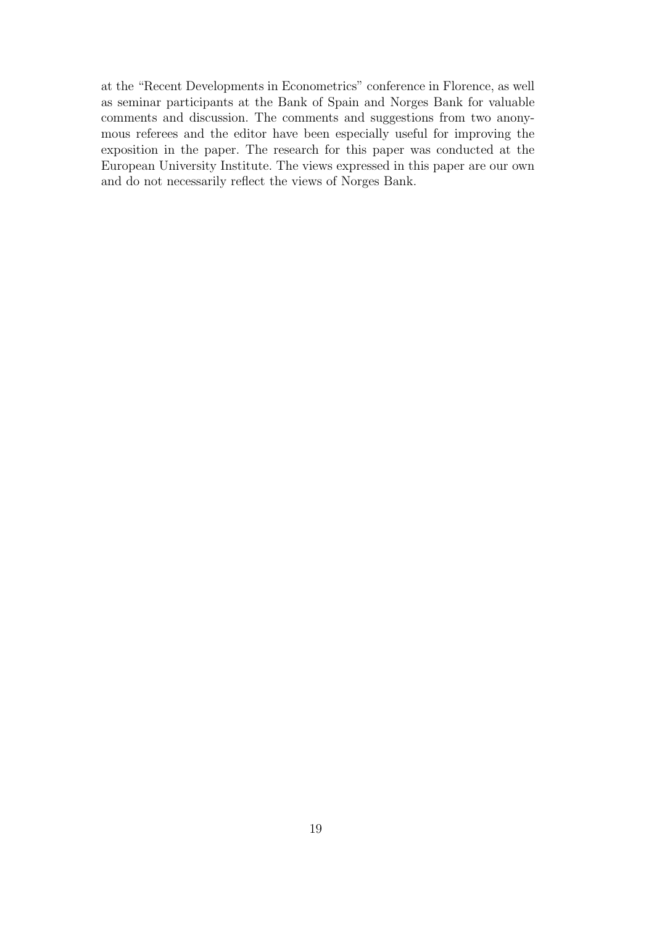at the "Recent Developments in Econometrics" conference in Florence, as well as seminar participants at the Bank of Spain and Norges Bank for valuable comments and discussion. The comments and suggestions from two anonymous referees and the editor have been especially useful for improving the exposition in the paper. The research for this paper was conducted at the European University Institute. The views expressed in this paper are our own and do not necessarily reflect the views of Norges Bank.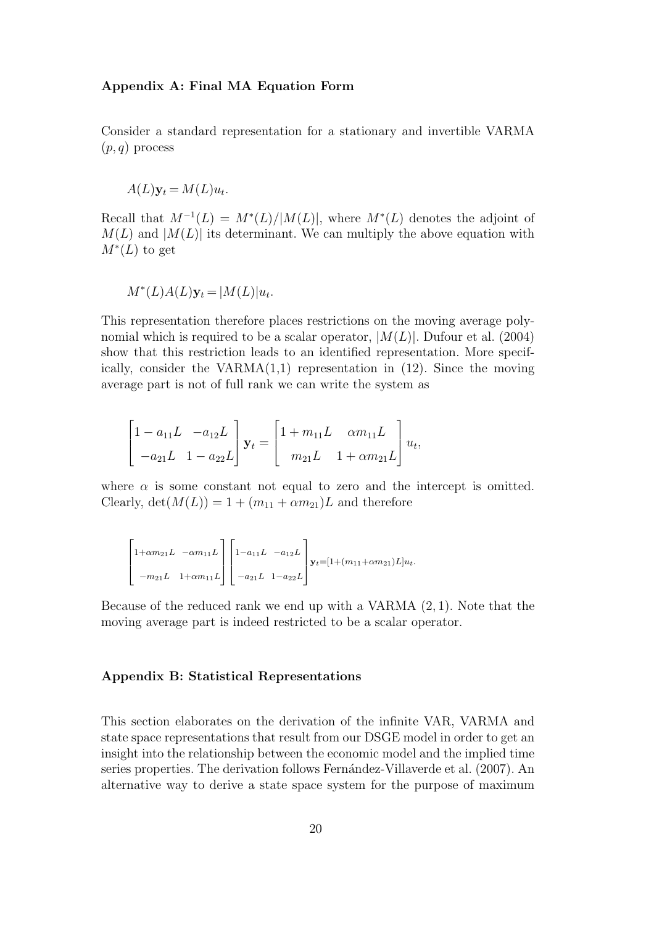## Appendix A: Final MA Equation Form

Consider a standard representation for a stationary and invertible VARMA  $(p, q)$  process

$$
A(L)\mathbf{y}_t = M(L)u_t.
$$

Recall that  $M^{-1}(L) = M^*(L)/|M(L)|$ , where  $M^*(L)$  denotes the adjoint of  $M(L)$  and  $|M(L)|$  its determinant. We can multiply the above equation with  $M^*(L)$  to get

$$
M^*(L)A(L)\mathbf{y}_t = |M(L)|u_t.
$$

This representation therefore places restrictions on the moving average polynomial which is required to be a scalar operator,  $|M(L)|$ . Dufour et al. (2004) show that this restriction leads to an identified representation. More specifically, consider the  $VARMA(1,1)$  representation in  $(12)$ . Since the moving average part is not of full rank we can write the system as

$$
\begin{bmatrix} 1 - a_{11}L & -a_{12}L \ -a_{21}L & 1 - a_{22}L \end{bmatrix} \mathbf{y}_t = \begin{bmatrix} 1 + m_{11}L & \alpha m_{11}L \ m_{21}L & 1 + \alpha m_{21}L \end{bmatrix} u_t,
$$

where  $\alpha$  is some constant not equal to zero and the intercept is omitted. Clearly,  $\det(M(L)) = 1 + (m_{11} + \alpha m_{21})L$  and therefore

$$
\begin{bmatrix} 1 + \alpha m_{21} L & -\alpha m_{11} L \\ -m_{21} L & 1 + \alpha m_{11} L \end{bmatrix} \begin{bmatrix} 1 - a_{11} L & -a_{12} L \\ -a_{21} L & 1 - a_{22} L \end{bmatrix} \mathbf{y}_t = [1 + (m_{11} + \alpha m_{21}) L] u_t.
$$

Because of the reduced rank we end up with a VARMA (2, 1). Note that the moving average part is indeed restricted to be a scalar operator.

## Appendix B: Statistical Representations

This section elaborates on the derivation of the infinite VAR, VARMA and state space representations that result from our DSGE model in order to get an insight into the relationship between the economic model and the implied time series properties. The derivation follows Fernández-Villaverde et al. (2007). An alternative way to derive a state space system for the purpose of maximum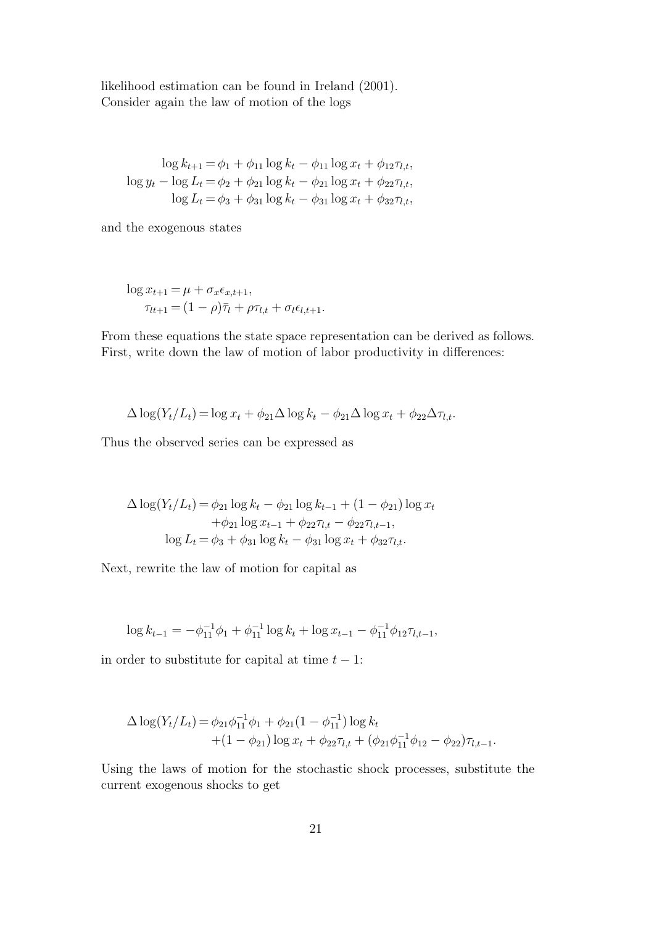likelihood estimation can be found in Ireland (2001). Consider again the law of motion of the logs

 $\log k_{t+1} = \phi_1 + \phi_{11} \log k_t - \phi_{11} \log x_t + \phi_{12} \tau_{1t},$ log  $y_t - \log L_t = \phi_2 + \phi_{21} \log k_t - \phi_{21} \log x_t + \phi_{22} \tau_{l,t}$ ,  $\log L_t = \phi_3 + \phi_{31} \log k_t - \phi_{31} \log x_t + \phi_{32} \tau_{1,t},$ 

and the exogenous states

$$
\log x_{t+1} = \mu + \sigma_x \epsilon_{x,t+1},
$$
  
\n
$$
\tau_{lt+1} = (1 - \rho)\bar{\tau}_l + \rho \tau_{l,t} + \sigma_l \epsilon_{l,t+1}.
$$

From these equations the state space representation can be derived as follows. First, write down the law of motion of labor productivity in differences:

$$
\Delta \log(Y_t/L_t) = \log x_t + \phi_{21} \Delta \log k_t - \phi_{21} \Delta \log x_t + \phi_{22} \Delta \tau_{l,t}.
$$

Thus the observed series can be expressed as

$$
\Delta \log(Y_t/L_t) = \phi_{21} \log k_t - \phi_{21} \log k_{t-1} + (1 - \phi_{21}) \log x_t
$$
  
+  $\phi_{21} \log x_{t-1} + \phi_{22} \tau_{l,t} - \phi_{22} \tau_{l,t-1},$   

$$
\log L_t = \phi_3 + \phi_{31} \log k_t - \phi_{31} \log x_t + \phi_{32} \tau_{l,t}.
$$

Next, rewrite the law of motion for capital as

$$
\log k_{t-1} = -\phi_{11}^{-1}\phi_1 + \phi_{11}^{-1}\log k_t + \log x_{t-1} - \phi_{11}^{-1}\phi_{12}\tau_{l,t-1},
$$

in order to substitute for capital at time  $t - 1$ :

$$
\Delta \log(Y_t/L_t) = \phi_{21}\phi_{11}^{-1}\phi_1 + \phi_{21}(1-\phi_{11}^{-1})\log k_t + (1-\phi_{21})\log x_t + \phi_{22}\eta_{1,t} + (\phi_{21}\phi_{11}^{-1}\phi_{12} - \phi_{22})\eta_{1,t-1}.
$$

Using the laws of motion for the stochastic shock processes, substitute the current exogenous shocks to get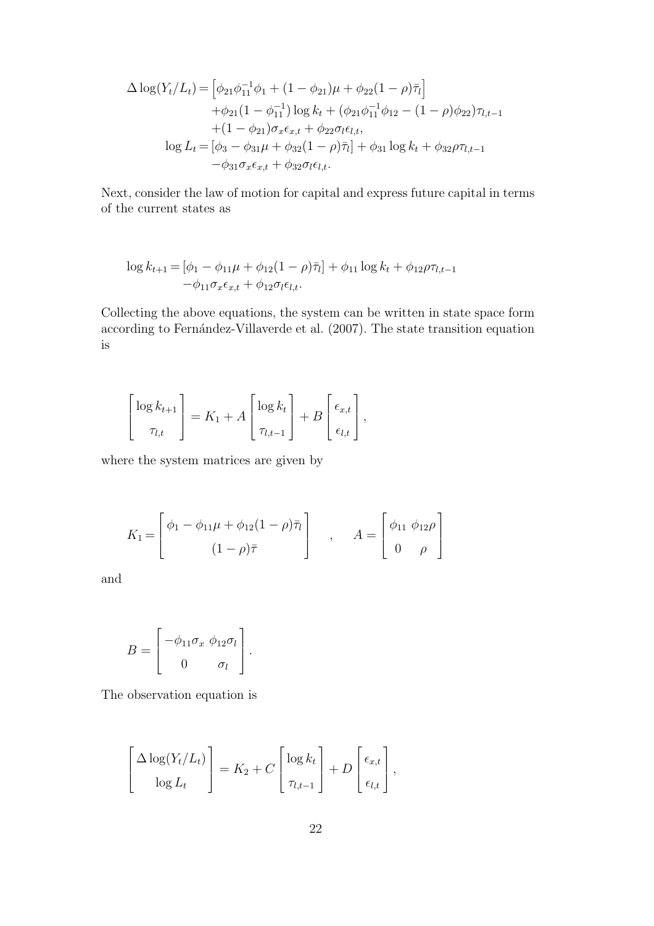$$
\Delta \log(Y_t/L_t) = \left[ \phi_{21}\phi_{11}^{-1}\phi_1 + (1 - \phi_{21})\mu + \phi_{22}(1 - \rho)\overline{\tau}_l \right] \n+ \phi_{21}(1 - \phi_{11}^{-1})\log k_t + (\phi_{21}\phi_{11}^{-1}\phi_{12} - (1 - \rho)\phi_{22})\tau_{l,t-1} \n+ (1 - \phi_{21})\sigma_x \epsilon_{x,t} + \phi_{22}\sigma_l \epsilon_{l,t}, \n\log L_t = \left[ \phi_3 - \phi_{31}\mu + \phi_{32}(1 - \rho)\overline{\tau}_l \right] + \phi_{31}\log k_t + \phi_{32}\rho\tau_{l,t-1} \n- \phi_{31}\sigma_x \epsilon_{x,t} + \phi_{32}\sigma_l \epsilon_{l,t}.
$$

Next, consider the law of motion for capital and express future capital in terms of the current states as

$$
\log k_{t+1} = [\phi_1 - \phi_{11}\mu + \phi_{12}(1-\rho)\bar{\tau}_t] + \phi_{11}\log k_t + \phi_{12}\rho\tau_{t,t-1} - \phi_{11}\sigma_x\epsilon_{x,t} + \phi_{12}\sigma_t\epsilon_{t,t}.
$$

Collecting the above equations, the system can be written in state space form according to Fernández-Villaverde et al. (2007). The state transition equation is

$$
\begin{bmatrix} \log k_{t+1} \\ \tau_{l,t} \end{bmatrix} = K_1 + A \begin{bmatrix} \log k_t \\ \tau_{l,t-1} \end{bmatrix} + B \begin{bmatrix} \epsilon_{x,t} \\ \epsilon_{l,t} \end{bmatrix},
$$

where the system matrices are given by

$$
K_1 = \begin{bmatrix} \phi_1 - \phi_{11}\mu + \phi_{12}(1-\rho)\bar{\tau}_l \\ (1-\rho)\bar{\tau} \end{bmatrix} , \quad A = \begin{bmatrix} \phi_{11} & \phi_{12}\rho \\ 0 & \rho \end{bmatrix}
$$

and

$$
B = \begin{bmatrix} -\phi_{11}\sigma_x & \phi_{12}\sigma_l \\ 0 & \sigma_l \end{bmatrix}.
$$

The observation equation is

$$
\left[\begin{array}{c} \Delta \log(Y_t/L_t) \\ \log L_t \end{array}\right] = K_2 + C \left[\begin{array}{c} \log k_t \\ \tau_{l,t-1} \end{array}\right] + D \left[\begin{array}{c} \epsilon_{x,t} \\ \epsilon_{l,t} \end{array}\right],
$$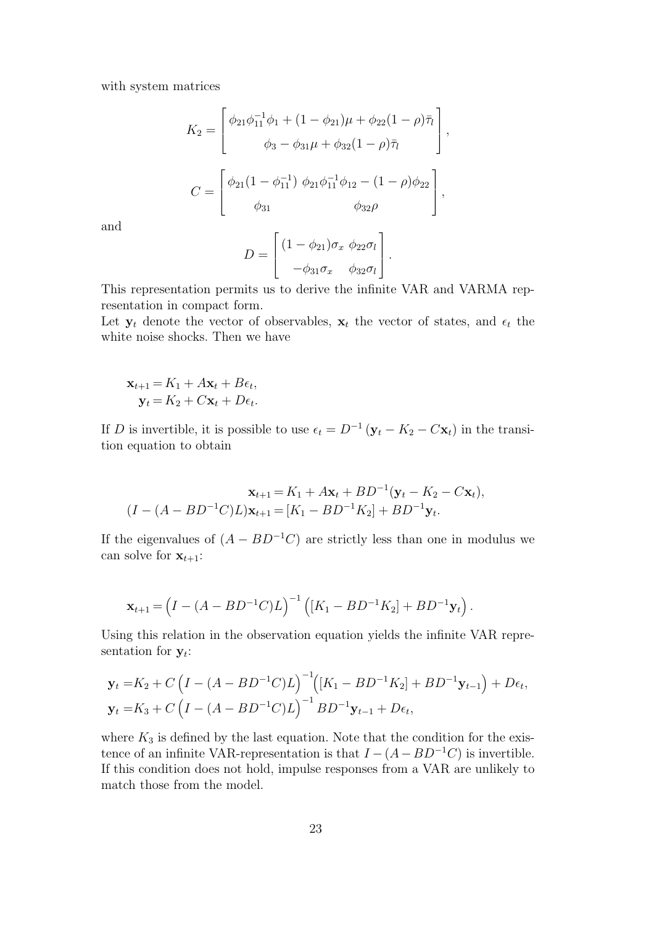with system matrices

$$
K_2 = \begin{bmatrix} \phi_{21}\phi_{11}^{-1}\phi_1 + (1 - \phi_{21})\mu + \phi_{22}(1 - \rho)\bar{\tau}_l \\ \phi_3 - \phi_{31}\mu + \phi_{32}(1 - \rho)\bar{\tau}_l \end{bmatrix},
$$
  

$$
C = \begin{bmatrix} \phi_{21}(1 - \phi_{11}^{-1}) & \phi_{21}\phi_{11}^{-1}\phi_{12} - (1 - \rho)\phi_{22} \\ \phi_{31} & \phi_{32}\rho \end{bmatrix},
$$

and

$$
D = \begin{bmatrix} (1 - \phi_{21})\sigma_x & \phi_{22}\sigma_l \\ -\phi_{31}\sigma_x & \phi_{32}\sigma_l \end{bmatrix}.
$$

This representation permits us to derive the infinite VAR and VARMA representation in compact form.

Let  $y_t$  denote the vector of observables,  $x_t$  the vector of states, and  $\epsilon_t$  the white noise shocks. Then we have

$$
\mathbf{x}_{t+1} = K_1 + A\mathbf{x}_t + B\epsilon_t,
$$
  

$$
\mathbf{y}_t = K_2 + C\mathbf{x}_t + D\epsilon_t.
$$

If D is invertible, it is possible to use  $\epsilon_t = D^{-1}(\mathbf{y}_t - K_2 - C\mathbf{x}_t)$  in the transition equation to obtain

$$
\mathbf{x}_{t+1} = K_1 + A\mathbf{x}_t + BD^{-1}(\mathbf{y}_t - K_2 - C\mathbf{x}_t),
$$
  
( $I - (A - BD^{-1}C)L$ ) $\mathbf{x}_{t+1} = [K_1 - BD^{-1}K_2] + BD^{-1}\mathbf{y}_t.$ 

If the eigenvalues of  $(A - BD^{-1}C)$  are strictly less than one in modulus we can solve for  $\mathbf{x}_{t+1}$ :

$$
\mathbf{x}_{t+1} = (I - (A - BD^{-1}C)L)^{-1} ([K_1 - BD^{-1}K_2] + BD^{-1}\mathbf{y}_t).
$$

Using this relation in the observation equation yields the infinite VAR representation for  $y_t$ :

$$
\mathbf{y}_t = K_2 + C \left( I - (A - BD^{-1}C)L \right)^{-1} \left( [K_1 - BD^{-1}K_2] + BD^{-1}\mathbf{y}_{t-1} \right) + D\epsilon_t,
$$
  
\n
$$
\mathbf{y}_t = K_3 + C \left( I - (A - BD^{-1}C)L \right)^{-1} BD^{-1}\mathbf{y}_{t-1} + D\epsilon_t,
$$

where  $K_3$  is defined by the last equation. Note that the condition for the existence of an infinite VAR-representation is that  $I - (A - BD^{-1}C)$  is invertible. If this condition does not hold, impulse responses from a VAR are unlikely to match those from the model.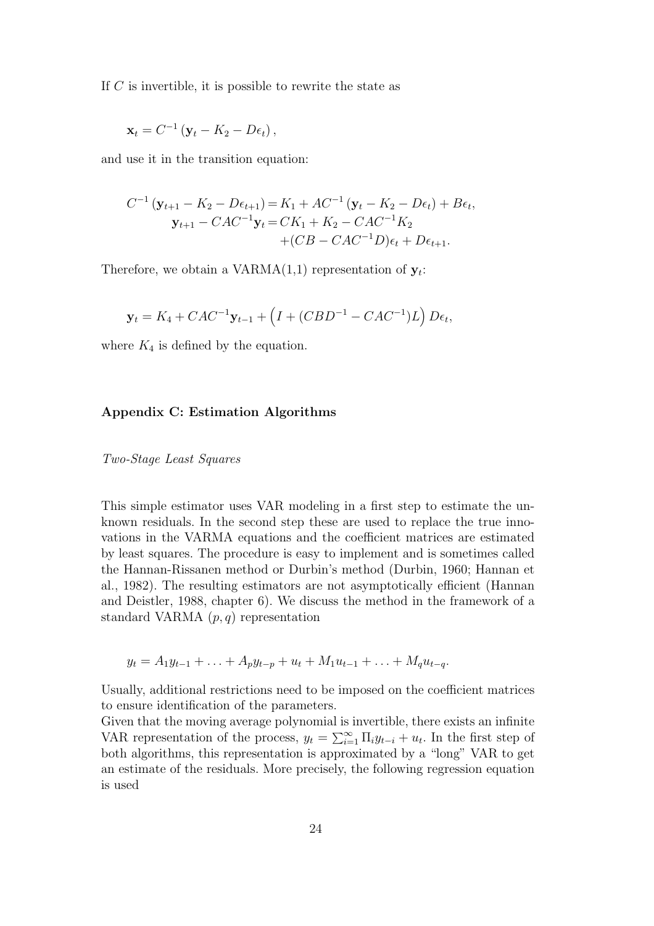If C is invertible, it is possible to rewrite the state as

$$
\mathbf{x}_t = C^{-1} \left( \mathbf{y}_t - K_2 - D \epsilon_t \right),
$$

and use it in the transition equation:

$$
C^{-1} (\mathbf{y}_{t+1} - K_2 - D\epsilon_{t+1}) = K_1 + AC^{-1} (\mathbf{y}_t - K_2 - D\epsilon_t) + B\epsilon_t,
$$
  

$$
\mathbf{y}_{t+1} - CAC^{-1}\mathbf{y}_t = CK_1 + K_2 - CAC^{-1}K_2
$$
  

$$
+ (CB - CAC^{-1}D)\epsilon_t + D\epsilon_{t+1}.
$$

Therefore, we obtain a VARMA $(1,1)$  representation of  $y_t$ :

$$
\mathbf{y}_t = K_4 + CAC^{-1}\mathbf{y}_{t-1} + \left(I + (CBD^{-1} - CAC^{-1})L\right)D\epsilon_t,
$$

where  $K_4$  is defined by the equation.

# Appendix C: Estimation Algorithms

Two-Stage Least Squares

This simple estimator uses VAR modeling in a first step to estimate the unknown residuals. In the second step these are used to replace the true innovations in the VARMA equations and the coefficient matrices are estimated by least squares. The procedure is easy to implement and is sometimes called the Hannan-Rissanen method or Durbin's method (Durbin, 1960; Hannan et al., 1982). The resulting estimators are not asymptotically efficient (Hannan and Deistler, 1988, chapter 6). We discuss the method in the framework of a standard VARMA  $(p, q)$  representation

$$
y_t = A_1 y_{t-1} + \ldots + A_p y_{t-p} + u_t + M_1 u_{t-1} + \ldots + M_q u_{t-q}.
$$

Usually, additional restrictions need to be imposed on the coefficient matrices to ensure identification of the parameters.

Given that the moving average polynomial is invertible, there exists an infinite VAR representation of the process,  $y_t = \sum_{i=1}^{\infty} \prod_i y_{t-i} + u_t$ . In the first step of both algorithms, this representation is approximated by a "long" VAR to get an estimate of the residuals. More precisely, the following regression equation is used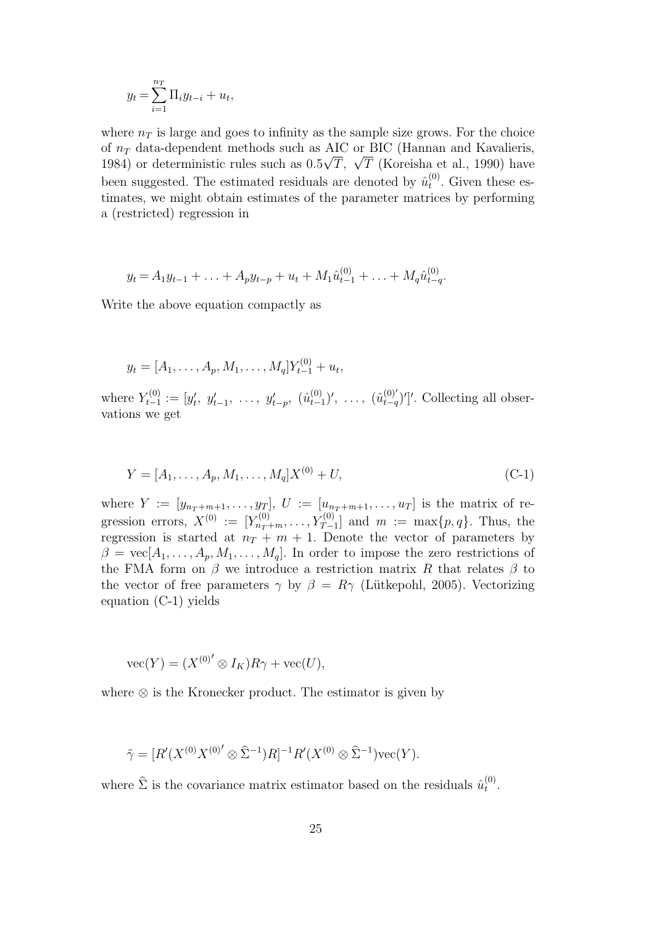$$
y_t = \sum_{i=1}^{n_T} \Pi_i y_{t-i} + u_t,
$$

where  $n<sub>T</sub>$  is large and goes to infinity as the sample size grows. For the choice of  $n_T$  data-dependent methods such as AIC or BIC (Hannan and Kavalieris, of  $n_T$  data-dependent methods such as AIC or BIC (Hannan and Kavalieris,<br>1984) or deterministic rules such as  $0.5\sqrt{T},\;\sqrt{T}$  (Koreisha et al., 1990) have been suggested. The estimated residuals are denoted by  $\hat{u}_t^{(0)}$  $t^{(0)}$ . Given these estimates, we might obtain estimates of the parameter matrices by performing a (restricted) regression in

$$
y_t = A_1 y_{t-1} + \ldots + A_p y_{t-p} + u_t + M_1 \hat{u}_{t-1}^{(0)} + \ldots + M_q \hat{u}_{t-q}^{(0)}.
$$

Write the above equation compactly as

$$
y_t = [A_1, \dots, A_p, M_1, \dots, M_q] Y_{t-1}^{(0)} + u_t,
$$

where  $Y_{t-1}^{(0)}$  $t_{t-1}^{(0)} := [y'_t, y'_{t-1}, \ldots, y'_{t-p}, (\hat{u}_{t-1}^{(0)})$  $\binom{0}{t-1}'$ , ...,  $\left(\hat{u}_{t-q}^{(0)'}\right)$  $\binom{0}{t-q}$ ']'. Collecting all observations we get

$$
Y = [A_1, \dots, A_p, M_1, \dots, M_q]X^{(0)} + U,
$$
\n(C-1)

where  $Y := [y_{n_T + m + 1}, \ldots, y_T], U := [u_{n_T + m + 1}, \ldots, u_T]$  is the matrix of regression errors,  $X^{(0)} := [Y^{(0)}_{n_T + m}, \ldots, Y^{(0)}_{T-1}]$  and  $m := \max\{p, q\}$ . Thus, the regression is started at  $n_T + m + 1$ . Denote the vector of parameters by  $\beta = \text{vec}[A_1, \ldots, A_p, M_1, \ldots, M_q]$ . In order to impose the zero restrictions of the FMA form on  $\beta$  we introduce a restriction matrix R that relates  $\beta$  to the vector of free parameters  $\gamma$  by  $\beta = R\gamma$  (Lütkepohl, 2005). Vectorizing equation (C-1) yields

$$
\text{vec}(Y) = (X^{(0)'} \otimes I_K)R\gamma + \text{vec}(U),
$$

where  $\otimes$  is the Kronecker product. The estimator is given by

$$
\tilde{\gamma} = [R'(X^{(0)}X^{(0)'}\otimes \hat{\Sigma}^{-1})R]^{-1}R'(X^{(0)}\otimes \hat{\Sigma}^{-1})\text{vec}(Y).
$$

where  $\hat{\Sigma}$  is the covariance matrix estimator based on the residuals  $\hat{u}_t^{(0)}$  $\mathop{t\,\mathop{\stackrel{(0)}{\hskip-0.5pt}}\nolimits}$  .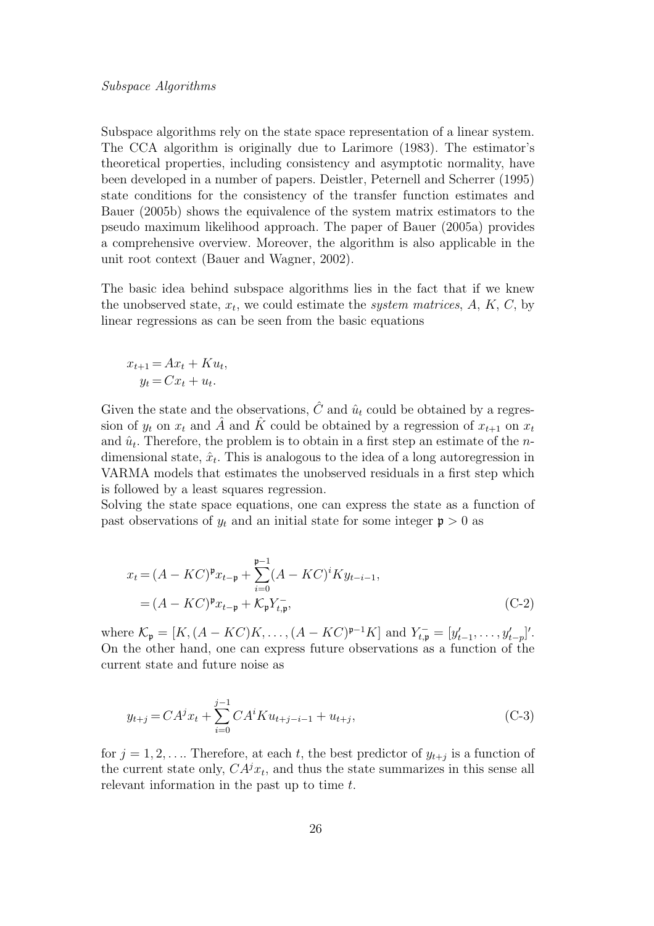Subspace algorithms rely on the state space representation of a linear system. The CCA algorithm is originally due to Larimore (1983). The estimator's theoretical properties, including consistency and asymptotic normality, have been developed in a number of papers. Deistler, Peternell and Scherrer (1995) state conditions for the consistency of the transfer function estimates and Bauer (2005b) shows the equivalence of the system matrix estimators to the pseudo maximum likelihood approach. The paper of Bauer (2005a) provides a comprehensive overview. Moreover, the algorithm is also applicable in the unit root context (Bauer and Wagner, 2002).

The basic idea behind subspace algorithms lies in the fact that if we knew the unobserved state,  $x_t$ , we could estimate the *system matrices*,  $A$ ,  $K$ ,  $C$ , by linear regressions as can be seen from the basic equations

$$
x_{t+1} = Ax_t + Ku_t,
$$
  

$$
y_t = Cx_t + u_t.
$$

Given the state and the observations,  $\hat{C}$  and  $\hat{u}_t$  could be obtained by a regression of  $y_t$  on  $x_t$  and  $\hat{A}$  and  $\hat{K}$  could be obtained by a regression of  $x_{t+1}$  on  $x_t$ and  $\hat{u}_t$ . Therefore, the problem is to obtain in a first step an estimate of the *n*dimensional state,  $\hat{x}_t$ . This is analogous to the idea of a long autoregression in VARMA models that estimates the unobserved residuals in a first step which is followed by a least squares regression.

Solving the state space equations, one can express the state as a function of past observations of  $y_t$  and an initial state for some integer  $\mathfrak{p} > 0$  as

$$
x_{t} = (A - KC)^{\mathfrak{p}} x_{t-\mathfrak{p}} + \sum_{i=0}^{\mathfrak{p}-1} (A - KC)^{i} K y_{t-i-1},
$$
  
=  $(A - KC)^{\mathfrak{p}} x_{t-\mathfrak{p}} + \mathcal{K}_{\mathfrak{p}} Y_{t,\mathfrak{p}}^{-},$  (C-2)

where  $\mathcal{K}_{\mathfrak{p}} = [K, (A - KC)K, \dots, (A - KC)^{\mathfrak{p}-1}K]$  and  $Y_{t,\mathfrak{p}} = [y'_{t-1}, \dots, y'_{t-p}]'.$ On the other hand, one can express future observations as a function of the current state and future noise as

$$
y_{t+j} = CA^j x_t + \sum_{i=0}^{j-1} CA^i K u_{t+j-i-1} + u_{t+j},
$$
\n(C-3)

for  $j = 1, 2, \ldots$  Therefore, at each t, the best predictor of  $y_{t+j}$  is a function of the current state only,  $CA^jx_t$ , and thus the state summarizes in this sense all relevant information in the past up to time t.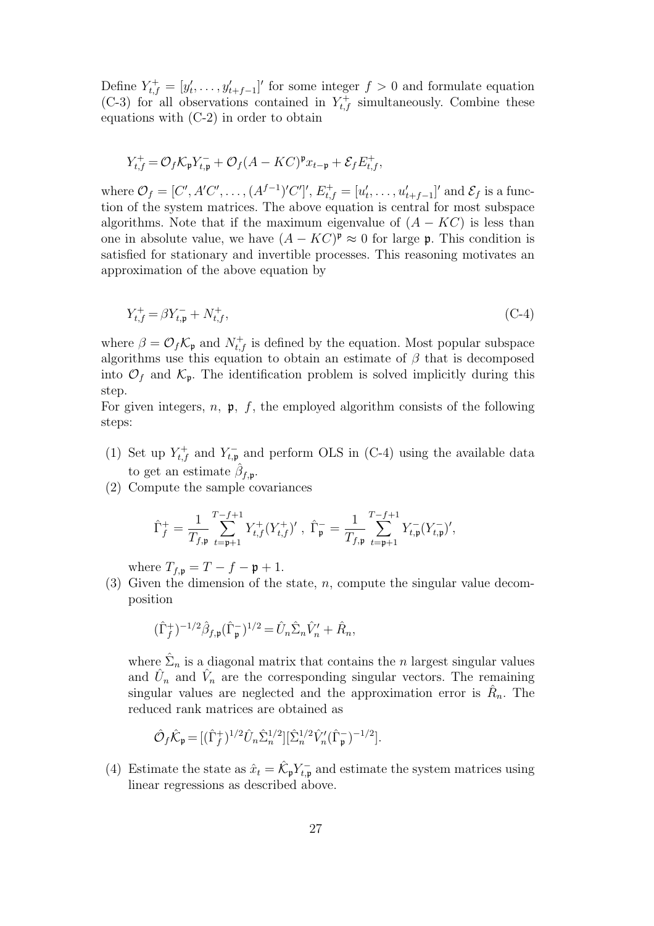Define  $Y_{t,f}^{+} = [y'_t, \ldots, y'_{t+f-1}]'$  for some integer  $f > 0$  and formulate equation (C-3) for all observations contained in  $Y_{t,f}^+$  simultaneously. Combine these equations with (C-2) in order to obtain

$$
Y_{t,f}^+ = \mathcal{O}_f \mathcal{K}_\mathfrak{p} Y_{t,\mathfrak{p}}^- + \mathcal{O}_f (A - KC)^{\mathfrak{p}} x_{t-\mathfrak{p}} + \mathcal{E}_f E_{t,f}^+,
$$

where  $\mathcal{O}_f = [C', A'C', \dots, (A^{f-1})'C']', E^+_{t,f} = [u'_t, \dots, u'_{t+f-1}]'$  and  $\mathcal{E}_f$  is a function of the system matrices. The above equation is central for most subspace algorithms. Note that if the maximum eigenvalue of  $(A - KC)$  is less than one in absolute value, we have  $(A - KC)^p \approx 0$  for large **p**. This condition is satisfied for stationary and invertible processes. This reasoning motivates an approximation of the above equation by

$$
Y_{t,f}^{+} = \beta Y_{t,\mathfrak{p}}^{-} + N_{t,f}^{+},\tag{C-4}
$$

where  $\beta = \mathcal{O}_f \mathcal{K}_{\mathfrak{p}}$  and  $N_{t,f}^+$  is defined by the equation. Most popular subspace algorithms use this equation to obtain an estimate of  $\beta$  that is decomposed into  $\mathcal{O}_f$  and  $\mathcal{K}_{\mathfrak{p}}$ . The identification problem is solved implicitly during this step.

For given integers,  $n$ ,  $\mathfrak{p}$ ,  $f$ , the employed algorithm consists of the following steps:

- (1) Set up  $Y_{t,f}^+$  and  $Y_{t,p}^-$  and perform OLS in (C-4) using the available data to get an estimate  $\hat{\beta}_{f,\mathfrak{p}}$ .
- (2) Compute the sample covariances

$$
\hat{\Gamma}_f^+ = \frac{1}{T_{f,\mathfrak{p}}} \sum_{t=\mathfrak{p}+1}^{T-f+1} Y_{t,f}^+(Y_{t,f}^+)'\ ,\ \hat{\Gamma}_\mathfrak{p}^- = \frac{1}{T_{f,\mathfrak{p}}} \sum_{t=\mathfrak{p}+1}^{T-f+1} Y_{t,\mathfrak{p}}^-(Y_{t,\mathfrak{p}}^-)',
$$

where  $T_{f,\mathfrak{p}} = T - f - \mathfrak{p} + 1$ .

(3) Given the dimension of the state,  $n$ , compute the singular value decomposition

$$
(\hat{\Gamma}_f^+)^{-1/2} \hat{\beta}_{f, \mathfrak{p}} (\hat{\Gamma}_{\mathfrak{p}}^-)^{1/2} = \hat{U}_n \hat{\Sigma}_n \hat{V}'_n + \hat{R}_n,
$$

where  $\hat{\Sigma}_n$  is a diagonal matrix that contains the *n* largest singular values and  $\hat{U}_n$  and  $\hat{V}_n$  are the corresponding singular vectors. The remaining singular values are neglected and the approximation error is  $\hat{R}_n$ . The reduced rank matrices are obtained as

$$
\hat{\mathcal{O}}_f \hat{\mathcal{K}}_{\mathfrak{p}} = [(\hat{\Gamma}_f^+)^{1/2} \hat{U}_n \hat{\Sigma}_n^{1/2}] [\hat{\Sigma}_n^{1/2} \hat{V}_n'(\hat{\Gamma}_{\mathfrak{p}}^-)^{-1/2}].
$$

(4) Estimate the state as  $\hat{x}_t = \hat{\mathcal{K}}_{\mathfrak{p}} Y_{t,\mathfrak{p}}^-$  and estimate the system matrices using linear regressions as described above.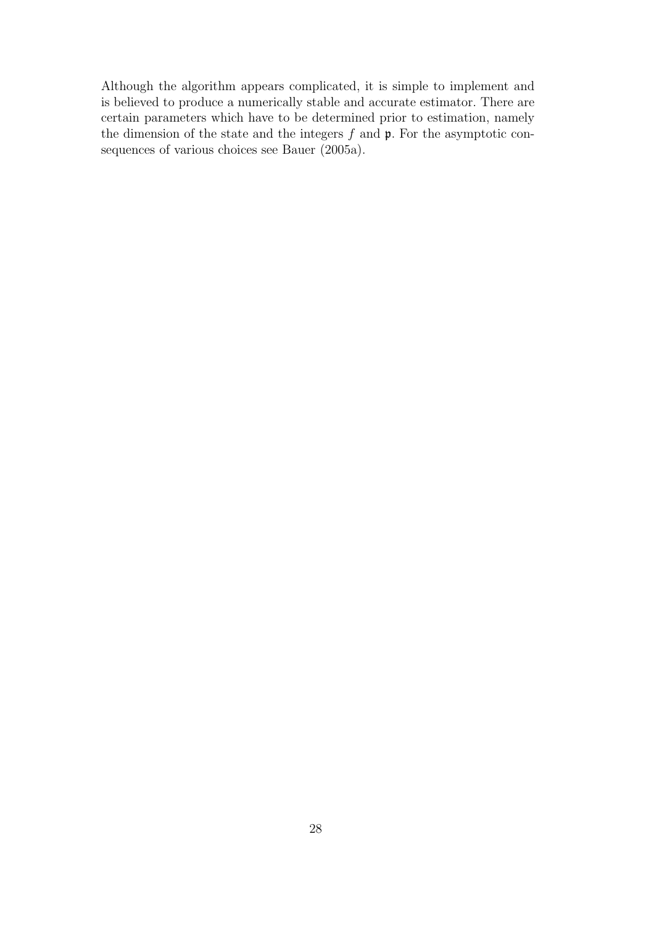Although the algorithm appears complicated, it is simple to implement and is believed to produce a numerically stable and accurate estimator. There are certain parameters which have to be determined prior to estimation, namely the dimension of the state and the integers  $f$  and  $\mathfrak{p}$ . For the asymptotic consequences of various choices see Bauer (2005a).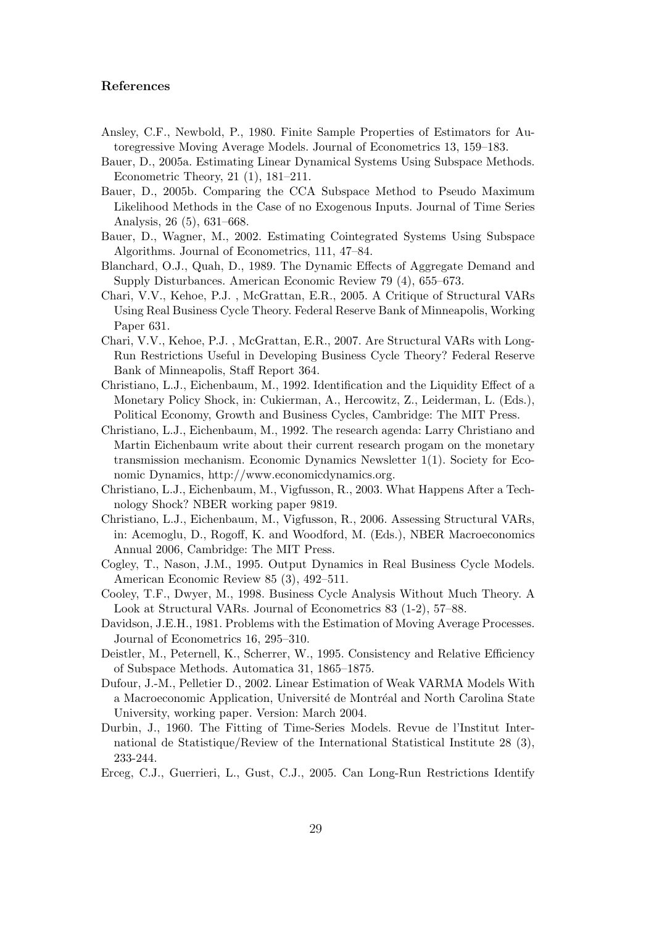# References

- Ansley, C.F., Newbold, P., 1980. Finite Sample Properties of Estimators for Autoregressive Moving Average Models. Journal of Econometrics 13, 159–183.
- Bauer, D., 2005a. Estimating Linear Dynamical Systems Using Subspace Methods. Econometric Theory, 21 (1), 181–211.
- Bauer, D., 2005b. Comparing the CCA Subspace Method to Pseudo Maximum Likelihood Methods in the Case of no Exogenous Inputs. Journal of Time Series Analysis, 26 (5), 631–668.
- Bauer, D., Wagner, M., 2002. Estimating Cointegrated Systems Using Subspace Algorithms. Journal of Econometrics, 111, 47–84.
- Blanchard, O.J., Quah, D., 1989. The Dynamic Effects of Aggregate Demand and Supply Disturbances. American Economic Review 79 (4), 655–673.
- Chari, V.V., Kehoe, P.J. , McGrattan, E.R., 2005. A Critique of Structural VARs Using Real Business Cycle Theory. Federal Reserve Bank of Minneapolis, Working Paper 631.
- Chari, V.V., Kehoe, P.J. , McGrattan, E.R., 2007. Are Structural VARs with Long-Run Restrictions Useful in Developing Business Cycle Theory? Federal Reserve Bank of Minneapolis, Staff Report 364.
- Christiano, L.J., Eichenbaum, M., 1992. Identification and the Liquidity Effect of a Monetary Policy Shock, in: Cukierman, A., Hercowitz, Z., Leiderman, L. (Eds.), Political Economy, Growth and Business Cycles, Cambridge: The MIT Press.
- Christiano, L.J., Eichenbaum, M., 1992. The research agenda: Larry Christiano and Martin Eichenbaum write about their current research progam on the monetary transmission mechanism. Economic Dynamics Newsletter 1(1). Society for Economic Dynamics, http://www.economicdynamics.org.
- Christiano, L.J., Eichenbaum, M., Vigfusson, R., 2003. What Happens After a Technology Shock? NBER working paper 9819.
- Christiano, L.J., Eichenbaum, M., Vigfusson, R., 2006. Assessing Structural VARs, in: Acemoglu, D., Rogoff, K. and Woodford, M. (Eds.), NBER Macroeconomics Annual 2006, Cambridge: The MIT Press.
- Cogley, T., Nason, J.M., 1995. Output Dynamics in Real Business Cycle Models. American Economic Review 85 (3), 492–511.
- Cooley, T.F., Dwyer, M., 1998. Business Cycle Analysis Without Much Theory. A Look at Structural VARs. Journal of Econometrics 83 (1-2), 57–88.
- Davidson, J.E.H., 1981. Problems with the Estimation of Moving Average Processes. Journal of Econometrics 16, 295–310.
- Deistler, M., Peternell, K., Scherrer, W., 1995. Consistency and Relative Efficiency of Subspace Methods. Automatica 31, 1865–1875.
- Dufour, J.-M., Pelletier D., 2002. Linear Estimation of Weak VARMA Models With a Macroeconomic Application, Université de Montréal and North Carolina State University, working paper. Version: March 2004.
- Durbin, J., 1960. The Fitting of Time-Series Models. Revue de l'Institut International de Statistique/Review of the International Statistical Institute 28 (3), 233-244.
- Erceg, C.J., Guerrieri, L., Gust, C.J., 2005. Can Long-Run Restrictions Identify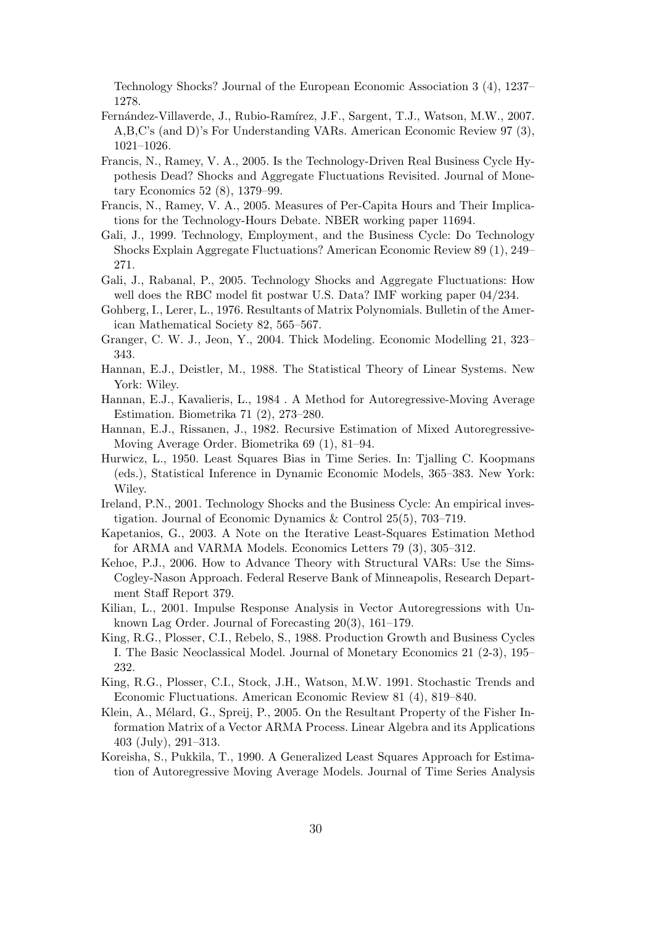Technology Shocks? Journal of the European Economic Association 3 (4), 1237– 1278.

- Fernández-Villaverde, J., Rubio-Ramírez, J.F., Sargent, T.J., Watson, M.W., 2007. A,B,C's (and D)'s For Understanding VARs. American Economic Review 97 (3), 1021–1026.
- Francis, N., Ramey, V. A., 2005. Is the Technology-Driven Real Business Cycle Hypothesis Dead? Shocks and Aggregate Fluctuations Revisited. Journal of Monetary Economics 52 (8), 1379–99.
- Francis, N., Ramey, V. A., 2005. Measures of Per-Capita Hours and Their Implications for the Technology-Hours Debate. NBER working paper 11694.
- Gali, J., 1999. Technology, Employment, and the Business Cycle: Do Technology Shocks Explain Aggregate Fluctuations? American Economic Review 89 (1), 249– 271.
- Gali, J., Rabanal, P., 2005. Technology Shocks and Aggregate Fluctuations: How well does the RBC model fit postwar U.S. Data? IMF working paper 04/234.
- Gohberg, I., Lerer, L., 1976. Resultants of Matrix Polynomials. Bulletin of the American Mathematical Society 82, 565–567.
- Granger, C. W. J., Jeon, Y., 2004. Thick Modeling. Economic Modelling 21, 323– 343.
- Hannan, E.J., Deistler, M., 1988. The Statistical Theory of Linear Systems. New York: Wiley.
- Hannan, E.J., Kavalieris, L., 1984 . A Method for Autoregressive-Moving Average Estimation. Biometrika 71 (2), 273–280.
- Hannan, E.J., Rissanen, J., 1982. Recursive Estimation of Mixed Autoregressive-Moving Average Order. Biometrika 69 (1), 81–94.
- Hurwicz, L., 1950. Least Squares Bias in Time Series. In: Tjalling C. Koopmans (eds.), Statistical Inference in Dynamic Economic Models, 365–383. New York: Wiley.
- Ireland, P.N., 2001. Technology Shocks and the Business Cycle: An empirical investigation. Journal of Economic Dynamics & Control 25(5), 703–719.
- Kapetanios, G., 2003. A Note on the Iterative Least-Squares Estimation Method for ARMA and VARMA Models. Economics Letters 79 (3), 305–312.
- Kehoe, P.J., 2006. How to Advance Theory with Structural VARs: Use the Sims-Cogley-Nason Approach. Federal Reserve Bank of Minneapolis, Research Department Staff Report 379.
- Kilian, L., 2001. Impulse Response Analysis in Vector Autoregressions with Unknown Lag Order. Journal of Forecasting 20(3), 161–179.
- King, R.G., Plosser, C.I., Rebelo, S., 1988. Production Growth and Business Cycles I. The Basic Neoclassical Model. Journal of Monetary Economics 21 (2-3), 195– 232.
- King, R.G., Plosser, C.I., Stock, J.H., Watson, M.W. 1991. Stochastic Trends and Economic Fluctuations. American Economic Review 81 (4), 819–840.
- Klein, A., Mélard, G., Spreij, P., 2005. On the Resultant Property of the Fisher Information Matrix of a Vector ARMA Process. Linear Algebra and its Applications 403 (July), 291–313.
- Koreisha, S., Pukkila, T., 1990. A Generalized Least Squares Approach for Estimation of Autoregressive Moving Average Models. Journal of Time Series Analysis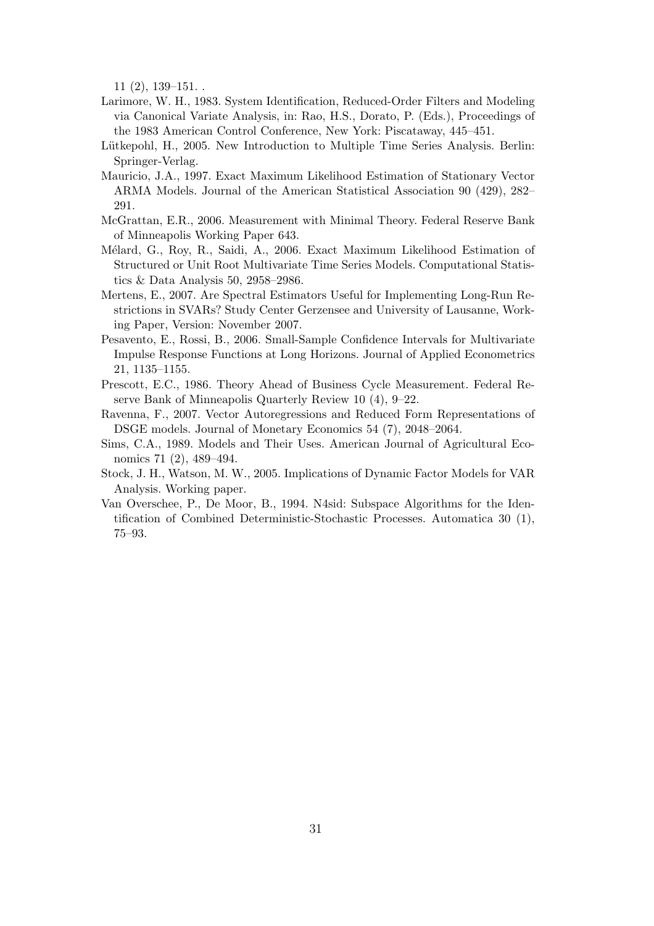$11(2), 139-151.$ 

- Larimore, W. H., 1983. System Identification, Reduced-Order Filters and Modeling via Canonical Variate Analysis, in: Rao, H.S., Dorato, P. (Eds.), Proceedings of the 1983 American Control Conference, New York: Piscataway, 445–451.
- Lütkepohl, H., 2005. New Introduction to Multiple Time Series Analysis. Berlin: Springer-Verlag.
- Mauricio, J.A., 1997. Exact Maximum Likelihood Estimation of Stationary Vector ARMA Models. Journal of the American Statistical Association 90 (429), 282– 291.
- McGrattan, E.R., 2006. Measurement with Minimal Theory. Federal Reserve Bank of Minneapolis Working Paper 643.
- Mélard, G., Roy, R., Saidi, A., 2006. Exact Maximum Likelihood Estimation of Structured or Unit Root Multivariate Time Series Models. Computational Statistics & Data Analysis 50, 2958–2986.
- Mertens, E., 2007. Are Spectral Estimators Useful for Implementing Long-Run Restrictions in SVARs? Study Center Gerzensee and University of Lausanne, Working Paper, Version: November 2007.
- Pesavento, E., Rossi, B., 2006. Small-Sample Confidence Intervals for Multivariate Impulse Response Functions at Long Horizons. Journal of Applied Econometrics 21, 1135–1155.
- Prescott, E.C., 1986. Theory Ahead of Business Cycle Measurement. Federal Reserve Bank of Minneapolis Quarterly Review 10 (4), 9–22.
- Ravenna, F., 2007. Vector Autoregressions and Reduced Form Representations of DSGE models. Journal of Monetary Economics 54 (7), 2048–2064.
- Sims, C.A., 1989. Models and Their Uses. American Journal of Agricultural Economics 71 (2), 489–494.
- Stock, J. H., Watson, M. W., 2005. Implications of Dynamic Factor Models for VAR Analysis. Working paper.
- Van Overschee, P., De Moor, B., 1994. N4sid: Subspace Algorithms for the Identification of Combined Deterministic-Stochastic Processes. Automatica 30 (1), 75–93.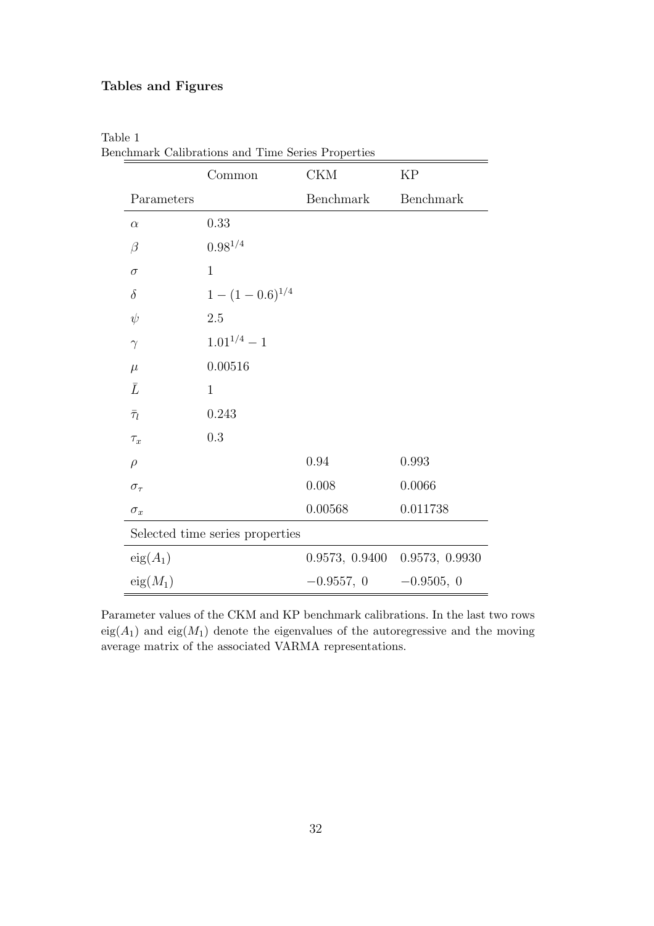# Tables and Figures

|                                 | Common            | <b>CKM</b>     | <b>KP</b>      |  |  |  |  |  |
|---------------------------------|-------------------|----------------|----------------|--|--|--|--|--|
| Parameters                      |                   | Benchmark      | Benchmark      |  |  |  |  |  |
| $\alpha$                        | 0.33              |                |                |  |  |  |  |  |
| $\beta$                         | $0.98^{1/4}$      |                |                |  |  |  |  |  |
| $\sigma$                        | $\mathbf{1}$      |                |                |  |  |  |  |  |
| $\delta$                        | $1-(1-0.6)^{1/4}$ |                |                |  |  |  |  |  |
| $\psi$                          | 2.5               |                |                |  |  |  |  |  |
| $\gamma$                        | $1.01^{1/4} - 1$  |                |                |  |  |  |  |  |
| $\mu$                           | 0.00516           |                |                |  |  |  |  |  |
| $\bar{L}$                       | $\mathbf{1}$      |                |                |  |  |  |  |  |
| $\bar{\tau}_l$                  | 0.243             |                |                |  |  |  |  |  |
| $\tau_x$                        | 0.3               |                |                |  |  |  |  |  |
| $\rho$                          |                   | 0.94           | 0.993          |  |  |  |  |  |
| $\sigma_{\tau}$                 |                   | 0.008          | 0.0066         |  |  |  |  |  |
| $\sigma_x$                      |                   | 0.00568        | 0.011738       |  |  |  |  |  |
| Selected time series properties |                   |                |                |  |  |  |  |  |
| $eig(A_1)$                      |                   | 0.9573, 0.9400 | 0.9573, 0.9930 |  |  |  |  |  |
| $eig(M_1)$                      |                   | $-0.9557, 0$   | $-0.9505, 0$   |  |  |  |  |  |

Table 1 Benchmark Calibrations and Time Series Properties

Parameter values of the CKM and KP benchmark calibrations. In the last two rows  $eig(A_1)$  and  $eig(M_1)$  denote the eigenvalues of the autoregressive and the moving average matrix of the associated VARMA representations.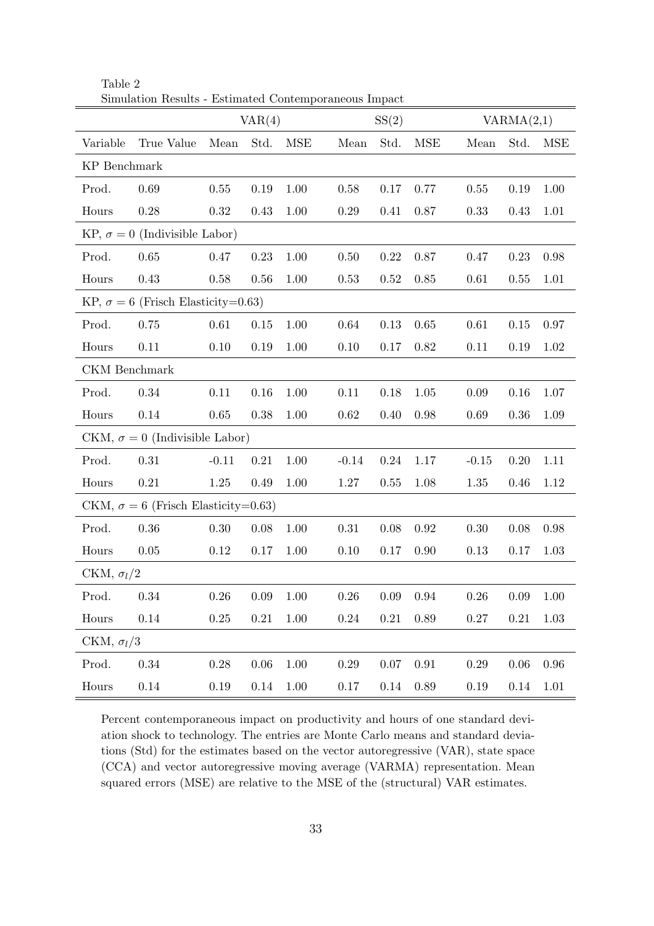|                                           |                                            | VAR(4)   |          |            |          | SS(2)    |            |          | VARMA(2,1) |            |  |
|-------------------------------------------|--------------------------------------------|----------|----------|------------|----------|----------|------------|----------|------------|------------|--|
| Variable                                  | True Value                                 | Mean     | Std.     | <b>MSE</b> | Mean     | Std.     | <b>MSE</b> | Mean     | Std.       | <b>MSE</b> |  |
| <b>KP</b> Benchmark                       |                                            |          |          |            |          |          |            |          |            |            |  |
| Prod.                                     | 0.69                                       | 0.55     | 0.19     | 1.00       | 0.58     | 0.17     | 0.77       | 0.55     | 0.19       | 1.00       |  |
| Hours                                     | 0.28                                       | 0.32     | 0.43     | 1.00       | 0.29     | 0.41     | $0.87\,$   | 0.33     | 0.43       | 1.01       |  |
| KP, $\sigma = 0$ (Indivisible Labor)      |                                            |          |          |            |          |          |            |          |            |            |  |
| Prod.                                     | 0.65                                       | 0.47     | 0.23     | 1.00       | 0.50     | 0.22     | 0.87       | 0.47     | 0.23       | 0.98       |  |
| Hours                                     | 0.43                                       | 0.58     | 0.56     | 1.00       | 0.53     | 0.52     | $0.85\,$   | 0.61     | 0.55       | 1.01       |  |
| KP, $\sigma = 6$ (Frisch Elasticity=0.63) |                                            |          |          |            |          |          |            |          |            |            |  |
| Prod.                                     | 0.75                                       | 0.61     | 0.15     | 1.00       | 0.64     | 0.13     | 0.65       | 0.61     | 0.15       | 0.97       |  |
| Hours                                     | 0.11                                       | 0.10     | 0.19     | 1.00       | 0.10     | 0.17     | 0.82       | 0.11     | 0.19       | 1.02       |  |
|                                           | <b>CKM</b> Benchmark                       |          |          |            |          |          |            |          |            |            |  |
| Prod.                                     | 0.34                                       | 0.11     | $0.16\,$ | 1.00       | 0.11     | 0.18     | 1.05       | 0.09     | 0.16       | 1.07       |  |
| Hours                                     | 0.14                                       | 0.65     | 0.38     | 1.00       | 0.62     | 0.40     | 0.98       | 0.69     | 0.36       | 1.09       |  |
|                                           | CKM, $\sigma = 0$ (Indivisible Labor)      |          |          |            |          |          |            |          |            |            |  |
| Prod.                                     | 0.31                                       | $-0.11$  | 0.21     | 1.00       | $-0.14$  | 0.24     | 1.17       | $-0.15$  | 0.20       | 1.11       |  |
| Hours                                     | 0.21                                       | 1.25     | $0.49\,$ | 1.00       | $1.27\,$ | 0.55     | 1.08       | 1.35     | 0.46       | 1.12       |  |
|                                           | CKM, $\sigma = 6$ (Frisch Elasticity=0.63) |          |          |            |          |          |            |          |            |            |  |
| Prod.                                     | 0.36                                       | 0.30     | 0.08     | 1.00       | 0.31     | 0.08     | 0.92       | 0.30     | 0.08       | 0.98       |  |
| Hours                                     | $0.05\,$                                   | 0.12     | $0.17\,$ | 1.00       | 0.10     | 0.17     | $0.90\,$   | 0.13     | 0.17       | 1.03       |  |
| CKM, $\sigma_l/2$                         |                                            |          |          |            |          |          |            |          |            |            |  |
| Prod.                                     | 0.34                                       | 0.26     | 0.09     | 1.00       | 0.26     | 0.09     | 0.94       | 0.26     | 0.09       | 1.00       |  |
| Hours                                     | 0.14                                       | 0.25     | 0.21     | 1.00       | 0.24     | 0.21     | 0.89       | 0.27     | 0.21       | 1.03       |  |
| CKM, $\sigma_l/3$                         |                                            |          |          |            |          |          |            |          |            |            |  |
| Prod.                                     | $0.34\,$                                   | $0.28\,$ | $0.06\,$ | 1.00       | $0.29\,$ | $0.07\,$ | $0.91\,$   | 0.29     | $0.06\,$   | 0.96       |  |
| Hours                                     | $0.14\,$                                   | $0.19\,$ | $0.14\,$ | 1.00       | $0.17\,$ | 0.14     | $0.89\,$   | $0.19\,$ | 0.14       | 1.01       |  |

Table 2 Simulation Results - Estimated Contemporaneous Impact

Percent contemporaneous impact on productivity and hours of one standard deviation shock to technology. The entries are Monte Carlo means and standard deviations (Std) for the estimates based on the vector autoregressive (VAR), state space (CCA) and vector autoregressive moving average (VARMA) representation. Mean squared errors (MSE) are relative to the MSE of the (structural) VAR estimates.